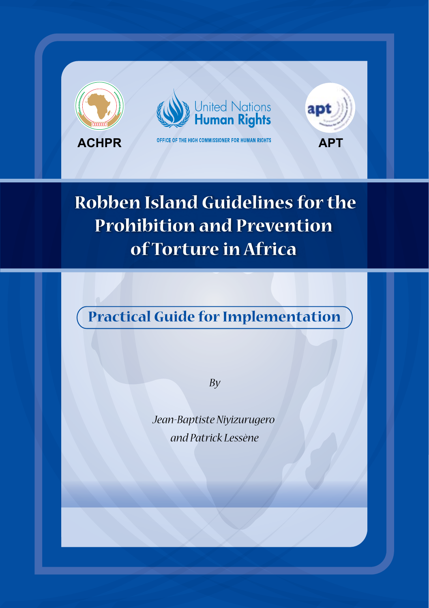

# **Robben Island Guidelines for the Prohibition and Prevention of Torture in Africa**

# **Practical Guide for Implementation**

*By*

*Jean-Baptiste Niyizurugero and Patrick Lessène*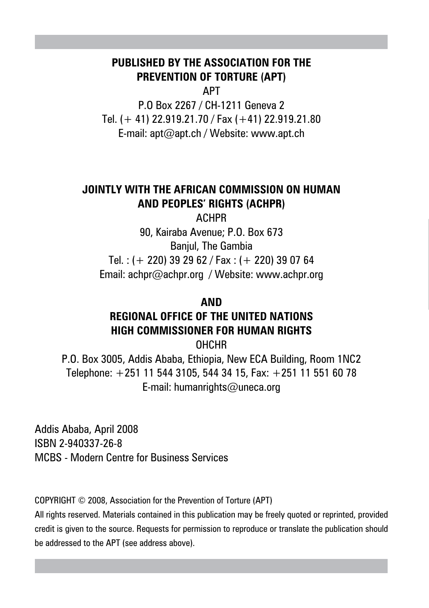### **PUBLISHED BY THE ASSOCIATION FOR THE PREVENTION OF TORTURE (APT)**

APT

P.O Box 2267 / CH-1211 Geneva 2 Tel. (+ 41) 22.919.21.70 / Fax (+41) 22.919.21.80 E-mail: apt@apt.ch / Website: www.apt.ch

### **JOINTLY WITH THE AFRICAN COMMISSION ON HUMAN AND PEOPLES' RIGHTS (ACHPR)**

ACHPR 90, Kairaba Avenue; P.O. Box 673 Banjul, The Gambia Tel.: (+ 220) 39 29 62 / Fax: (+ 220) 39 07 64 Email: achpr@achpr.org / Website: www.achpr.org

#### **AND**

## **REGIONAL OFFICE OF THE UNITED NATIONS HIGH COMMISSIONER FOR HUMAN RIGHTS**

OHCHR

P.O. Box 3005, Addis Ababa, Ethiopia, New ECA Building, Room 1NC2 Telephone: +251 11 544 3105, 544 34 15, Fax: +251 11 551 60 78 E-mail: humanrights@uneca.org

Addis Ababa, April 2008 ISBN 2-940337-26-8 MCBS - Modern Centre for Business Services

COPYRIGHT © 2008, Association for the Prevention of Torture (APT)

All rights reserved. Materials contained in this publication may be freely quoted or reprinted, provided credit is given to the source. Requests for permission to reproduce or translate the publication should be addressed to the APT (see address above).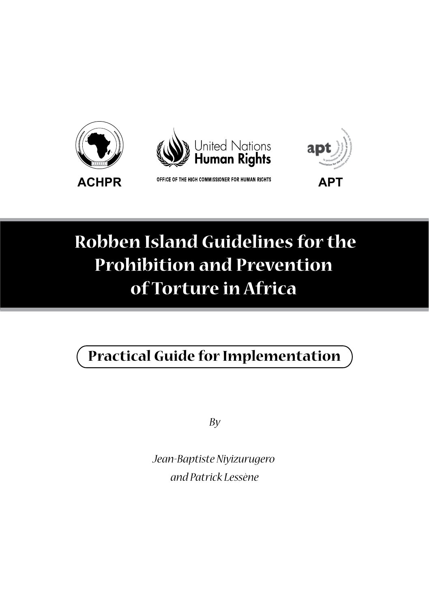



ACHPR OFFICE OF THE HIGH COMMISSIONER FOR HUMAN RIGHTS APT



# **Robben Island Guidelines for the Prohibition and Prevention of Torture in Africa**

# **Practical Guide for Implementation**

*By*

*Jean-Baptiste Niyizurugero and Patrick Lessène*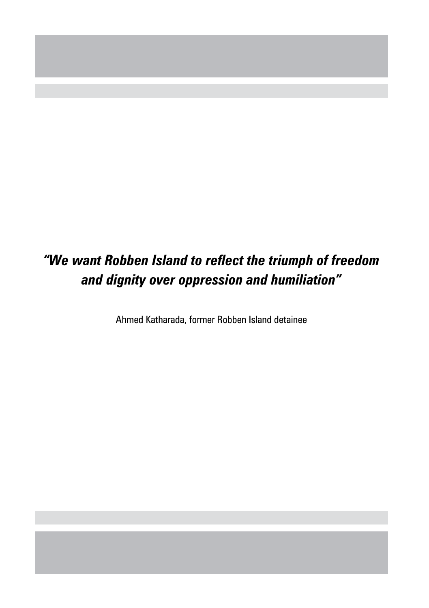# *"We want Robben Island to reflect the triumph of freedom and dignity over oppression and humiliation"*

Ahmed Katharada, former Robben Island detainee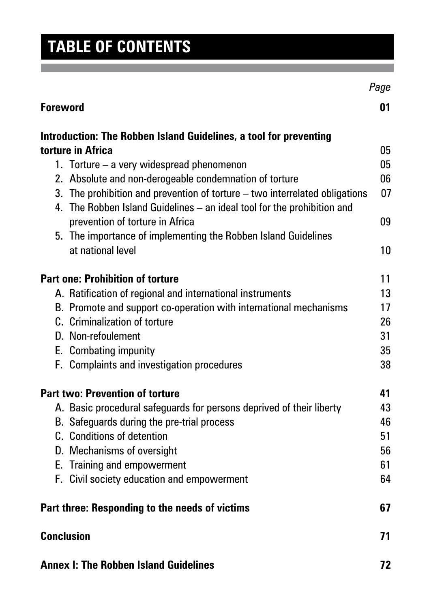# **Table of contents**

|                                                                                                                                                        | Page |
|--------------------------------------------------------------------------------------------------------------------------------------------------------|------|
| <b>Foreword</b>                                                                                                                                        | 01   |
| Introduction: The Robben Island Guidelines, a tool for preventing                                                                                      |      |
| torture in Africa                                                                                                                                      | 05   |
| 1. Torture – a very widespread phenomenon                                                                                                              | 05   |
| 2. Absolute and non-derogeable condemnation of torture                                                                                                 | 06   |
| 3. The prohibition and prevention of torture - two interrelated obligations<br>4. The Robben Island Guidelines - an ideal tool for the prohibition and | 07   |
| prevention of torture in Africa                                                                                                                        | 09   |
| 5. The importance of implementing the Robben Island Guidelines                                                                                         |      |
| at national level                                                                                                                                      | 10   |
| <b>Part one: Prohibition of torture</b>                                                                                                                | 11   |
| A. Ratification of regional and international instruments                                                                                              | 13   |
| B. Promote and support co-operation with international mechanisms                                                                                      | 17   |
| C. Criminalization of torture                                                                                                                          | 26   |
| D. Non-refoulement                                                                                                                                     | 31   |
| E. Combating impunity                                                                                                                                  | 35   |
| F. Complaints and investigation procedures                                                                                                             | 38   |
| <b>Part two: Prevention of torture</b>                                                                                                                 | 41   |
| A. Basic procedural safeguards for persons deprived of their liberty                                                                                   | 43   |
| B. Safeguards during the pre-trial process                                                                                                             | 46   |
| C. Conditions of detention                                                                                                                             | 51   |
| D. Mechanisms of oversight                                                                                                                             | 56   |
| E. Training and empowerment                                                                                                                            | 61   |
| F. Civil society education and empowerment                                                                                                             | 64   |
| Part three: Responding to the needs of victims                                                                                                         | 67   |
| <b>Conclusion</b>                                                                                                                                      | 71   |
| <b>Annex I: The Robben Island Guidelines</b>                                                                                                           | 72   |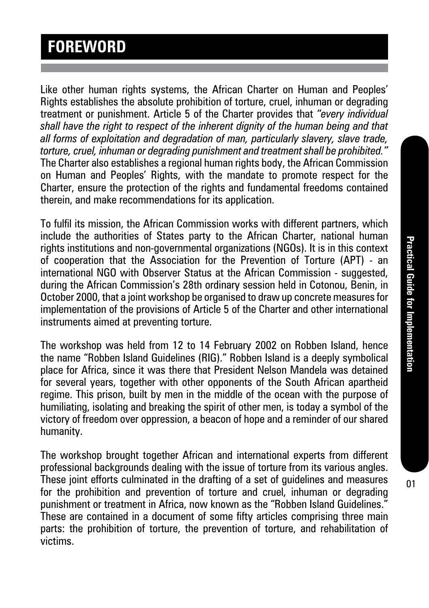# **Foreword**

Like other human rights systems, the African Charter on Human and Peoples' Rights establishes the absolute prohibition of torture, cruel, inhuman or degrading treatment or punishment. Article 5 of the Charter provides that *"every individual shall have the right to respect of the inherent dignity of the human being and that all forms of exploitation and degradation of man, particularly slavery, slave trade, torture, cruel, inhuman or degrading punishment and treatment shall be prohibited."* The Charter also establishes a regional human rights body, the African Commission on Human and Peoples' Rights, with the mandate to promote respect for the Charter, ensure the protection of the rights and fundamental freedoms contained therein, and make recommendations for its application.

To fulfil its mission, the African Commission works with different partners, which include the authorities of States party to the African Charter, national human rights institutions and non-governmental organizations (NGOs). It is in this context of cooperation that the Association for the Prevention of Torture (APT) - an international NGO with Observer Status at the African Commission - suggested, during the African Commission's 28th ordinary session held in Cotonou, Benin, in October 2000, that a joint workshop be organised to draw up concrete measures for implementation of the provisions of Article 5 of the Charter and other international instruments aimed at preventing torture.

The workshop was held from 12 to 14 February 2002 on Robben Island, hence the name "Robben Island Guidelines (RIG)." Robben Island is a deeply symbolical place for Africa, since it was there that President Nelson Mandela was detained for several years, together with other opponents of the South African apartheid regime. This prison, built by men in the middle of the ocean with the purpose of humiliating, isolating and breaking the spirit of other men, is today a symbol of the victory of freedom over oppression, a beacon of hope and a reminder of our shared humanity.

The workshop brought together African and international experts from different professional backgrounds dealing with the issue of torture from its various angles. These joint efforts culminated in the drafting of a set of guidelines and measures for the prohibition and prevention of torture and cruel, inhuman or degrading punishment or treatment in Africa, now known as the "Robben Island Guidelines." These are contained in a document of some fifty articles comprising three main parts: the prohibition of torture, the prevention of torture, and rehabilitation of victims.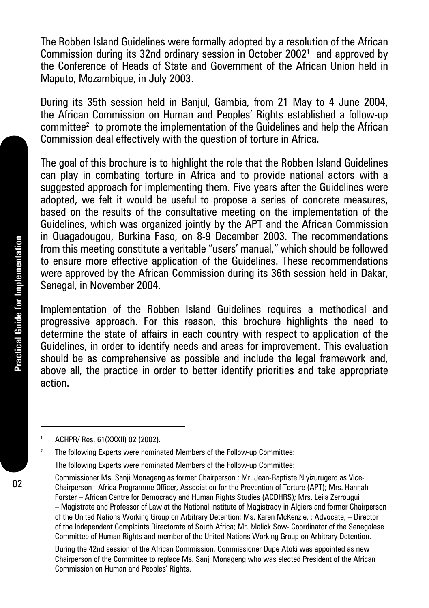The Robben Island Guidelines were formally adopted by a resolution of the African Commission during its 32nd ordinary session in October 2002<sup>1</sup> and approved by the Conference of Heads of State and Government of the African Union held in Maputo, Mozambique, in July 2003.

During its 35th session held in Banjul, Gambia, from 21 May to 4 June 2004, the African Commission on Human and Peoples' Rights established a follow-up committee2 to promote the implementation of the Guidelines and help the African Commission deal effectively with the question of torture in Africa.

The goal of this brochure is to highlight the role that the Robben Island Guidelines can play in combating torture in Africa and to provide national actors with a suggested approach for implementing them. Five years after the Guidelines were adopted, we felt it would be useful to propose a series of concrete measures, based on the results of the consultative meeting on the implementation of the Guidelines, which was organized jointly by the APT and the African Commission in Ouagadougou, Burkina Faso, on 8-9 December 2003. The recommendations from this meeting constitute a veritable "users' manual," which should be followed to ensure more effective application of the Guidelines. These recommendations were approved by the African Commission during its 36th session held in Dakar, Senegal, in November 2004.

Implementation of the Robben Island Guidelines requires a methodical and progressive approach. For this reason, this brochure highlights the need to determine the state of affairs in each country with respect to application of the Guidelines, in order to identify needs and areas for improvement. This evaluation should be as comprehensive as possible and include the legal framework and, above all, the practice in order to better identify priorities and take appropriate action.

<sup>1</sup> ACHPR/ Res. 61(XXXII) 02 (2002).

<sup>2</sup> The following Experts were nominated Members of the Follow-up Committee:

The following Experts were nominated Members of the Follow-up Committee:

During the 42nd session of the African Commission, Commissioner Dupe Atoki was appointed as new Chairperson of the Committee to replace Ms. Sanji Monageng who was elected President of the African Commission on Human and Peoples' Rights.

Commissioner Ms. Sanji Monageng as former Chairperson ; Mr. Jean-Baptiste Niyizurugero as Vice-Chairperson - Africa Programme Officer, Association for the Prevention of Torture (APT); Mrs. Hannah Forster – African Centre for Democracy and Human Rights Studies (ACDHRS); Mrs. Leila Zerrougui – Magistrate and Professor of Law at the National Institute of Magistracy in Algiers and former Chairperson of the United Nations Working Group on Arbitrary Detention; Ms. Karen McKenzie, ; Advocate, – Director of the Independent Complaints Directorate of South Africa; Mr. Malick Sow- Coordinator of the Senegalese Committee of Human Rights and member of the United Nations Working Group on Arbitrary Detention.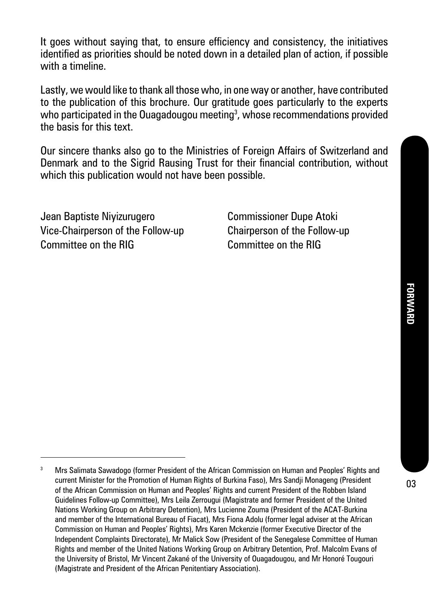It goes without saying that, to ensure efficiency and consistency, the initiatives identified as priorities should be noted down in a detailed plan of action, if possible with a timeline.

Lastly, we would like to thank all those who, in one way or another, have contributed to the publication of this brochure. Our gratitude goes particularly to the experts who participated in the Ouagadougou meeting $^{\rm 3}$ , whose recommendations provided the basis for this text.

Our sincere thanks also go to the Ministries of Foreign Affairs of Switzerland and Denmark and to the Sigrid Rausing Trust for their financial contribution, without which this publication would not have been possible.

Jean Baptiste Niyizurugero Commissioner Dupe Atoki Vice-Chairperson of the Follow-up Chairperson of the Follow-up Committee on the RIG Committee on the RIG

<sup>&</sup>lt;sup>3</sup> Mrs Salimata Sawadogo (former President of the African Commission on Human and Peoples' Rights and current Minister for the Promotion of Human Rights of Burkina Faso), Mrs Sandji Monageng (President of the African Commission on Human and Peoples' Rights and current President of the Robben Island Guidelines Follow-up Committee), Mrs Leila Zerrougui (Magistrate and former President of the United Nations Working Group on Arbitrary Detention), Mrs Lucienne Zouma (President of the ACAT-Burkina and member of the International Bureau of Fiacat), Mrs Fiona Adolu (former legal adviser at the African Commission on Human and Peoples' Rights), Mrs Karen Mckenzie (former Executive Director of the Independent Complaints Directorate), Mr Malick Sow (President of the Senegalese Committee of Human Rights and member of the United Nations Working Group on Arbitrary Detention, Prof. Malcolm Evans of the University of Bristol, Mr Vincent Zakané of the University of Ouagadougou, and Mr Honoré Tougouri (Magistrate and President of the African Penitentiary Association).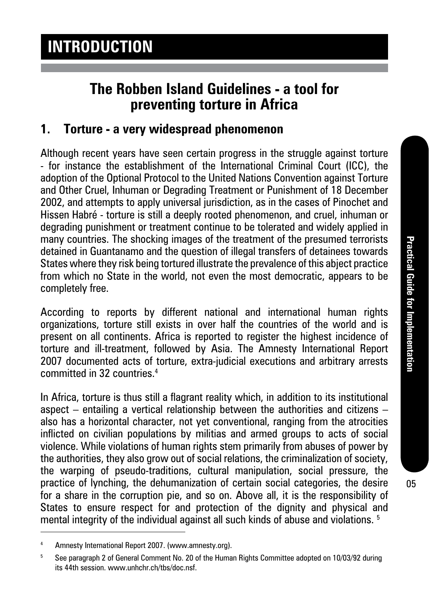# **The Robben Island Guidelines - a tool for preventing torture in Africa**

### **1. Torture - a very widespread phenomenon**

Although recent years have seen certain progress in the struggle against torture - for instance the establishment of the International Criminal Court (ICC), the adoption of the Optional Protocol to the United Nations Convention against Torture and Other Cruel, Inhuman or Degrading Treatment or Punishment of 18 December 2002, and attempts to apply universal jurisdiction, as in the cases of Pinochet and Hissen Habré - torture is still a deeply rooted phenomenon, and cruel, inhuman or degrading punishment or treatment continue to be tolerated and widely applied in many countries. The shocking images of the treatment of the presumed terrorists detained in Guantanamo and the question of illegal transfers of detainees towards States where they risk being tortured illustrate the prevalence of this abject practice from which no State in the world, not even the most democratic, appears to be completely free.

According to reports by different national and international human rights organizations, torture still exists in over half the countries of the world and is present on all continents. Africa is reported to register the highest incidence of torture and ill-treatment, followed by Asia. The Amnesty International Report 2007 documented acts of torture, extra-judicial executions and arbitrary arrests committed in 32 countries.4

In Africa, torture is thus still a flagrant reality which, in addition to its institutional aspect – entailing a vertical relationship between the authorities and citizens – also has a horizontal character, not yet conventional, ranging from the atrocities inflicted on civilian populations by militias and armed groups to acts of social violence. While violations of human rights stem primarily from abuses of power by the authorities, they also grow out of social relations, the criminalization of society, the warping of pseudo-traditions, cultural manipulation, social pressure, the practice of lynching, the dehumanization of certain social categories, the desire for a share in the corruption pie, and so on. Above all, it is the responsibility of States to ensure respect for and protection of the dignity and physical and mental integrity of the individual against all such kinds of abuse and violations. <sup>5</sup>

<sup>4</sup> Amnesty International Report 2007. (www.amnesty.org).

<sup>5</sup> See paragraph 2 of General Comment No. 20 of the Human Rights Committee adopted on 10/03/92 during its 44th session. www.unhchr.ch/tbs/doc.nsf.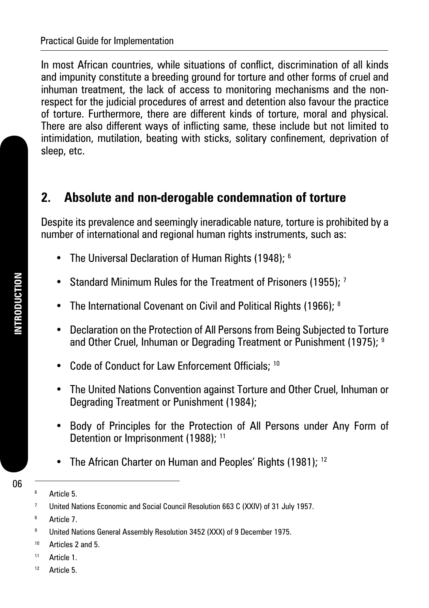In most African countries, while situations of conflict, discrimination of all kinds and impunity constitute a breeding ground for torture and other forms of cruel and inhuman treatment, the lack of access to monitoring mechanisms and the nonrespect for the judicial procedures of arrest and detention also favour the practice of torture. Furthermore, there are different kinds of torture, moral and physical. There are also different ways of inflicting same, these include but not limited to intimidation, mutilation, beating with sticks, solitary confinement, deprivation of sleep, etc.

### **2. Absolute and non-derogable condemnation of torture**

Despite its prevalence and seemingly ineradicable nature, torture is prohibited by a number of international and regional human rights instruments, such as:

- The Universal Declaration of Human Rights (1948); <sup>6</sup>
- Standard Minimum Rules for the Treatment of Prisoners (1955); <sup>7</sup>
- The International Covenant on Civil and Political Rights (1966); 8
- Declaration on the Protection of All Persons from Being Subjected to Torture and Other Cruel, Inhuman or Degrading Treatment or Punishment (1975); <sup>9</sup>
- Code of Conduct for Law Enforcement Officials: 10
- The United Nations Convention against Torture and Other Cruel, Inhuman or Degrading Treatment or Punishment (1984);
- Body of Principles for the Protection of All Persons under Any Form of Detention or Imprisonment (1988); <sup>11</sup>
- The African Charter on Human and Peoples' Rights (1981); <sup>12</sup>

- <sup>11</sup> Article 1.
- 12 Article 5

<sup>6</sup> Article 5.

<sup>7</sup> United Nations Economic and Social Council Resolution 663 C (XXIV) of 31 July 1957.

<sup>8</sup> Article 7.

<sup>9</sup> United Nations General Assembly Resolution 3452 (XXX) of 9 December 1975.

<sup>10</sup> Articles 2 and 5.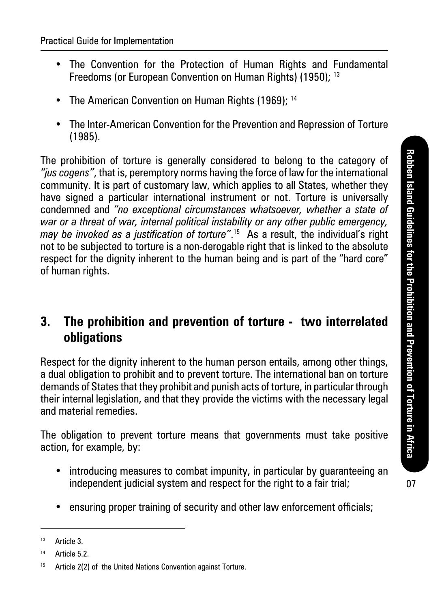- The Convention for the Protection of Human Rights and Fundamental Freedoms (or European Convention on Human Rights) (1950); <sup>13</sup>
- The American Convention on Human Rights (1969); <sup>14</sup>
- The Inter-American Convention for the Prevention and Repression of Torture (1985).

The prohibition of torture is generally considered to belong to the category of *"jus cogens"*, that is, peremptory norms having the force of law for the international community. It is part of customary law, which applies to all States, whether they have signed a particular international instrument or not. Torture is universally condemned and *"no exceptional circumstances whatsoever, whether a state of war or a threat of war, internal political instability or any other public emergency, may be invoked as a justification of torture"*. 15 As a result, the individual's right not to be subjected to torture is a non-derogable right that is linked to the absolute respect for the dignity inherent to the human being and is part of the "hard core" of human rights.

### **3. The prohibition and prevention of torture - two interrelated obligations**

Respect for the dignity inherent to the human person entails, among other things, a dual obligation to prohibit and to prevent torture. The international ban on torture demands of States that they prohibit and punish acts of torture, in particular through their internal legislation, and that they provide the victims with the necessary legal and material remedies.

The obligation to prevent torture means that governments must take positive action, for example, by:

- introducing measures to combat impunity, in particular by guaranteeing an independent judicial system and respect for the right to a fair trial;
- ensuring proper training of security and other law enforcement officials;

<sup>13</sup> Article 3.

 $14$  Article 5.2.

<sup>15</sup> Article 2(2) of the United Nations Convention against Torture.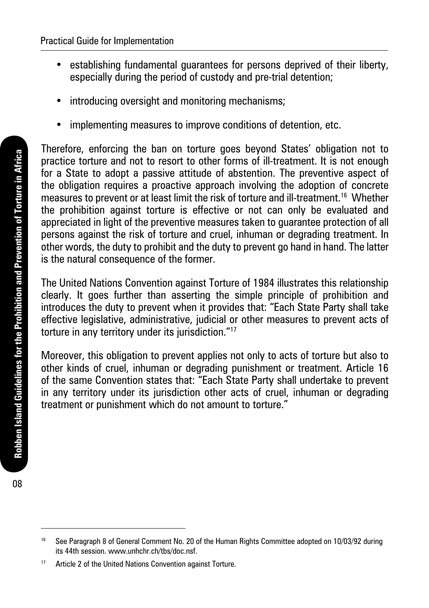- establishing fundamental guarantees for persons deprived of their liberty, especially during the period of custody and pre-trial detention;
- introducing oversight and monitoring mechanisms;
- implementing measures to improve conditions of detention, etc.

Therefore, enforcing the ban on torture goes beyond States' obligation not to practice torture and not to resort to other forms of ill-treatment. It is not enough for a State to adopt a passive attitude of abstention. The preventive aspect of the obligation requires a proactive approach involving the adoption of concrete measures to prevent or at least limit the risk of torture and ill-treatment.16 Whether the prohibition against torture is effective or not can only be evaluated and appreciated in light of the preventive measures taken to guarantee protection of all persons against the risk of torture and cruel, inhuman or degrading treatment. In other words, the duty to prohibit and the duty to prevent go hand in hand. The latter is the natural consequence of the former.

The United Nations Convention against Torture of 1984 illustrates this relationship clearly. It goes further than asserting the simple principle of prohibition and introduces the duty to prevent when it provides that: "Each State Party shall take effective legislative, administrative, judicial or other measures to prevent acts of torture in any territory under its jurisdiction."17

Moreover, this obligation to prevent applies not only to acts of torture but also to other kinds of cruel, inhuman or degrading punishment or treatment. Article 16 of the same Convention states that: "Each State Party shall undertake to prevent in any territory under its jurisdiction other acts of cruel, inhuman or degrading treatment or punishment which do not amount to torture."

08

<sup>&</sup>lt;sup>16</sup> See Paragraph 8 of General Comment No. 20 of the Human Rights Committee adopted on 10/03/92 during its 44th session. www.unhchr.ch/tbs/doc.nsf.

<sup>&</sup>lt;sup>17</sup> Article 2 of the United Nations Convention against Torture.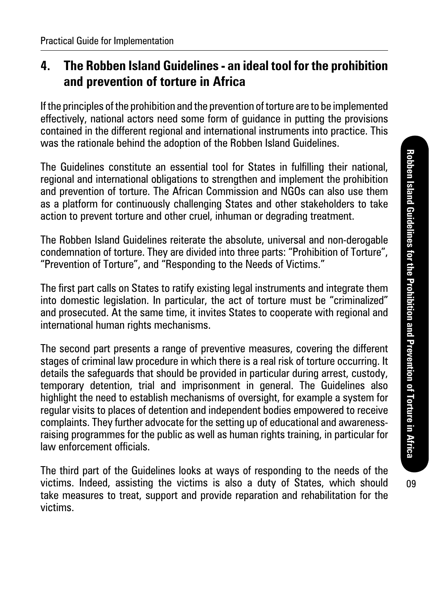### **4. The Robben Island Guidelines - an ideal tool for the prohibition and prevention of torture in Africa**

If the principles of the prohibition and the prevention of torture are to be implemented effectively, national actors need some form of guidance in putting the provisions contained in the different regional and international instruments into practice. This was the rationale behind the adoption of the Robben Island Guidelines.

The Guidelines constitute an essential tool for States in fulfilling their national, regional and international obligations to strengthen and implement the prohibition and prevention of torture. The African Commission and NGOs can also use them as a platform for continuously challenging States and other stakeholders to take action to prevent torture and other cruel, inhuman or degrading treatment.

The Robben Island Guidelines reiterate the absolute, universal and non-derogable condemnation of torture. They are divided into three parts: "Prohibition of Torture", "Prevention of Torture", and "Responding to the Needs of Victims."

The first part calls on States to ratify existing legal instruments and integrate them into domestic legislation. In particular, the act of torture must be "criminalized" and prosecuted. At the same time, it invites States to cooperate with regional and international human rights mechanisms.

The second part presents a range of preventive measures, covering the different stages of criminal law procedure in which there is a real risk of torture occurring. It details the safeguards that should be provided in particular during arrest, custody, temporary detention, trial and imprisonment in general. The Guidelines also highlight the need to establish mechanisms of oversight, for example a system for regular visits to places of detention and independent bodies empowered to receive complaints. They further advocate for the setting up of educational and awarenessraising programmes for the public as well as human rights training, in particular for law enforcement officials.

The third part of the Guidelines looks at ways of responding to the needs of the victims. Indeed, assisting the victims is also a duty of States, which should take measures to treat, support and provide reparation and rehabilitation for the victims.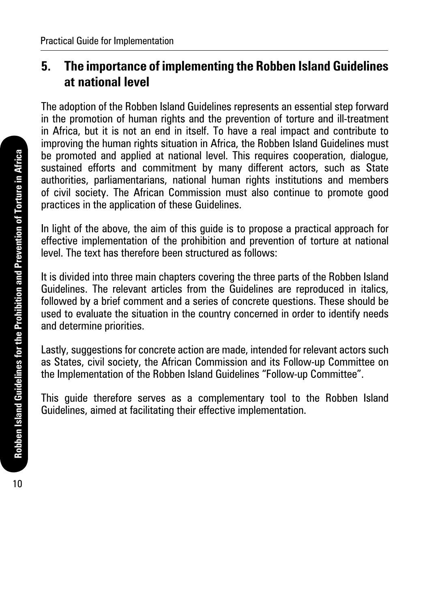## **5. The importance of implementing the Robben Island Guidelines at national level**

The adoption of the Robben Island Guidelines represents an essential step forward in the promotion of human rights and the prevention of torture and ill-treatment in Africa, but it is not an end in itself. To have a real impact and contribute to improving the human rights situation in Africa, the Robben Island Guidelines must be promoted and applied at national level. This requires cooperation, dialogue, sustained efforts and commitment by many different actors, such as State authorities, parliamentarians, national human rights institutions and members of civil society. The African Commission must also continue to promote good practices in the application of these Guidelines.

In light of the above, the aim of this guide is to propose a practical approach for effective implementation of the prohibition and prevention of torture at national level. The text has therefore been structured as follows:

It is divided into three main chapters covering the three parts of the Robben Island Guidelines. The relevant articles from the Guidelines are reproduced in italics, followed by a brief comment and a series of concrete questions. These should be used to evaluate the situation in the country concerned in order to identify needs and determine priorities.

Lastly, suggestions for concrete action are made, intended for relevant actors such as States, civil society, the African Commission and its Follow-up Committee on the Implementation of the Robben Island Guidelines "Follow-up Committee".

This guide therefore serves as a complementary tool to the Robben Island Guidelines, aimed at facilitating their effective implementation.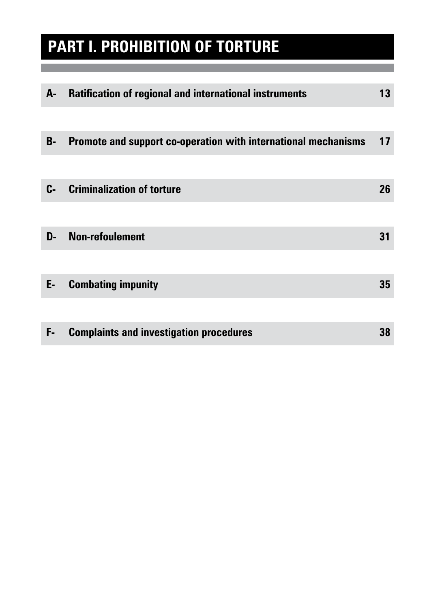# **PART I. PROHIBITION OF TORTURE**

| A-        | <b>Ratification of regional and international instruments</b>  | 13 |
|-----------|----------------------------------------------------------------|----|
|           |                                                                |    |
| <b>B-</b> | Promote and support co-operation with international mechanisms | 17 |
|           |                                                                |    |
| C-        | <b>Criminalization of torture</b>                              | 26 |
|           |                                                                |    |
| D-        | <b>Non-refoulement</b>                                         | 31 |
|           |                                                                |    |
| E-        | <b>Combating impunity</b>                                      | 35 |
|           |                                                                |    |
| F-        | <b>Complaints and investigation procedures</b>                 | 38 |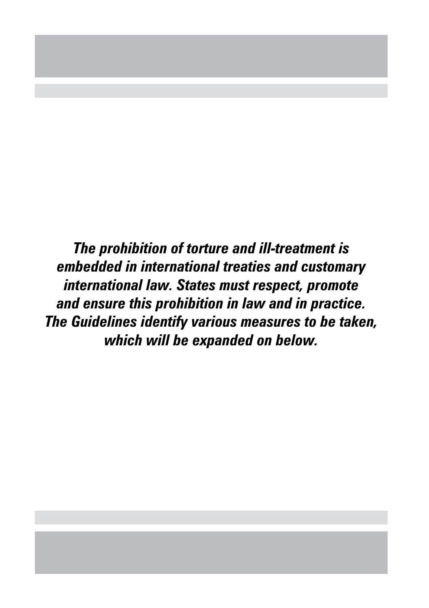*The prohibition of torture and ill-treatment is embedded in international treaties and customary international law. States must respect, promote and ensure this prohibition in law and in practice. The Guidelines identify various measures to be taken, which will be expanded on below.*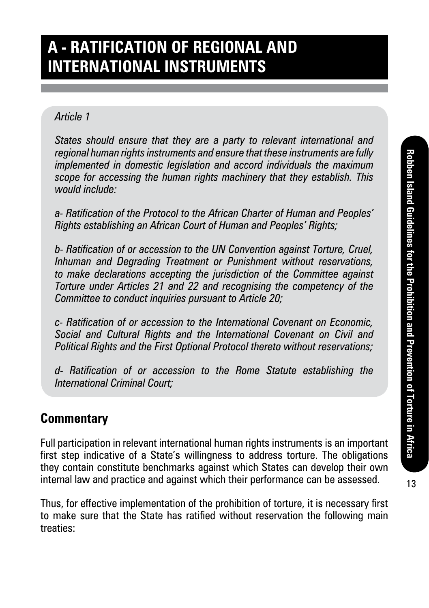# **A - Ratification of regional and international Instruments**

### *Article 1*

*States should ensure that they are a party to relevant international and regional human rights instruments and ensure that these instruments are fully implemented in domestic legislation and accord individuals the maximum scope for accessing the human rights machinery that they establish. This would include:*

*a- Ratification of the Protocol to the African Charter of Human and Peoples' Rights establishing an African Court of Human and Peoples' Rights;*

*b- Ratification of or accession to the UN Convention against Torture, Cruel, Inhuman and Degrading Treatment or Punishment without reservations, to make declarations accepting the jurisdiction of the Committee against Torture under Articles 21 and 22 and recognising the competency of the Committee to conduct inquiries pursuant to Article 20;*

*c- Ratification of or accession to the International Covenant on Economic, Social and Cultural Rights and the International Covenant on Civil and Political Rights and the First Optional Protocol thereto without reservations;*

*d- Ratification of or accession to the Rome Statute establishing the International Criminal Court;*

### **Commentary**

Full participation in relevant international human rights instruments is an important first step indicative of a State's willingness to address torture. The obligations they contain constitute benchmarks against which States can develop their own internal law and practice and against which their performance can be assessed.

Thus, for effective implementation of the prohibition of torture, it is necessary first to make sure that the State has ratified without reservation the following main treaties: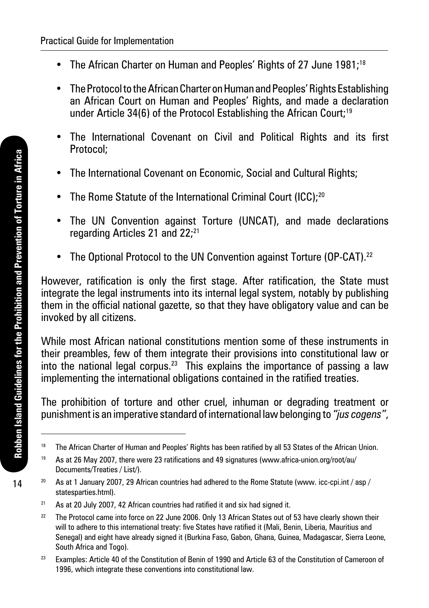- The African Charter on Human and Peoples' Rights of 27 June 1981;<sup>18</sup>
- The Protocol to the African Charter on Human and Peoples' Rights Establishing an African Court on Human and Peoples' Rights, and made a declaration under Article 34(6) of the Protocol Establishing the African Court;<sup>19</sup>
- The International Covenant on Civil and Political Rights and its first Protocol;
- The International Covenant on Economic, Social and Cultural Rights;
- The Rome Statute of the International Criminal Court (ICC);20
- The UN Convention against Torture (UNCAT), and made declarations regarding Articles 21 and 22:<sup>21</sup>
- The Optional Protocol to the UN Convention against Torture (OP-CAT).<sup>22</sup>

However, ratification is only the first stage. After ratification, the State must integrate the legal instruments into its internal legal system, notably by publishing them in the official national gazette, so that they have obligatory value and can be invoked by all citizens.

While most African national constitutions mention some of these instruments in their preambles, few of them integrate their provisions into constitutional law or into the national legal corpus.<sup>23</sup> This explains the importance of passing a law implementing the international obligations contained in the ratified treaties.

The prohibition of torture and other cruel, inhuman or degrading treatment or punishment is an imperative standard of international law belonging to *"jus cogens"*,

14

<sup>&</sup>lt;sup>18</sup> The African Charter of Human and Peoples' Rights has been ratified by all 53 States of the African Union.

<sup>19</sup> As at 26 May 2007, there were 23 ratifications and 49 signatures (www.africa-union.org/root/au/ Documents/Treaties / List/).

<sup>&</sup>lt;sup>20</sup> As at 1 January 2007, 29 African countries had adhered to the Rome Statute (www. icc-cpi.int / asp / statesparties.html).

 $21$  As at 20 July 2007, 42 African countries had ratified it and six had signed it.

<sup>&</sup>lt;sup>22</sup> The Protocol came into force on 22 June 2006. Only 13 African States out of 53 have clearly shown their will to adhere to this international treaty: five States have ratified it (Mali, Benin, Liberia, Mauritius and Senegal) and eight have already signed it (Burkina Faso, Gabon, Ghana, Guinea, Madagascar, Sierra Leone, South Africa and Togo).

<sup>&</sup>lt;sup>23</sup> Examples: Article 40 of the Constitution of Benin of 1990 and Article 63 of the Constitution of Cameroon of 1996, which integrate these conventions into constitutional law.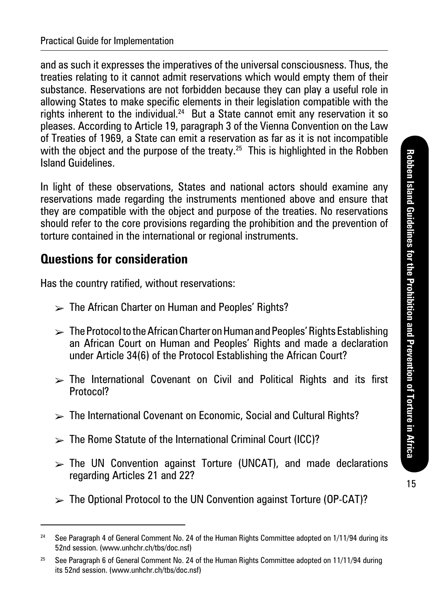and as such it expresses the imperatives of the universal consciousness. Thus, the treaties relating to it cannot admit reservations which would empty them of their substance. Reservations are not forbidden because they can play a useful role in allowing States to make specific elements in their legislation compatible with the rights inherent to the individual.<sup>24</sup> But a State cannot emit any reservation it so pleases. According to Article 19, paragraph 3 of the Vienna Convention on the Law of Treaties of 1969, a State can emit a reservation as far as it is not incompatible with the object and the purpose of the treaty.<sup>25</sup> This is highlighted in the Robben Island Guidelines.

In light of these observations, States and national actors should examine any reservations made regarding the instruments mentioned above and ensure that they are compatible with the object and purpose of the treaties. No reservations should refer to the core provisions regarding the prohibition and the prevention of torture contained in the international or regional instruments.

### **Questions for consideration**

Has the country ratified, without reservations:

- $\triangleright$  The African Charter on Human and Peoples' Rights?
- $\triangleright$  The Protocol to the African Charter on Human and Peoples' Rights Establishing an African Court on Human and Peoples' Rights and made a declaration under Article 34(6) of the Protocol Establishing the African Court?
- $\triangleright$  The International Covenant on Civil and Political Rights and its first Protocol?
- $\mathbb{R}$  The International Covenant on Economic, Social and Cultural Rights?
- $\triangleright$  The Rome Statute of the International Criminal Court (ICC)?
- $\triangleright$  The UN Convention against Torture (UNCAT), and made declarations regarding Articles 21 and 22?
- $\triangleright$  The Optional Protocol to the UN Convention against Torture (OP-CAT)?

<sup>&</sup>lt;sup>24</sup> See Paragraph 4 of General Comment No. 24 of the Human Rights Committee adopted on 1/11/94 during its 52nd session. (www.unhchr.ch/tbs/doc.nsf)

<sup>&</sup>lt;sup>25</sup> See Paragraph 6 of General Comment No. 24 of the Human Rights Committee adopted on 11/11/94 during its 52nd session. (www.unhchr.ch/tbs/doc.nsf)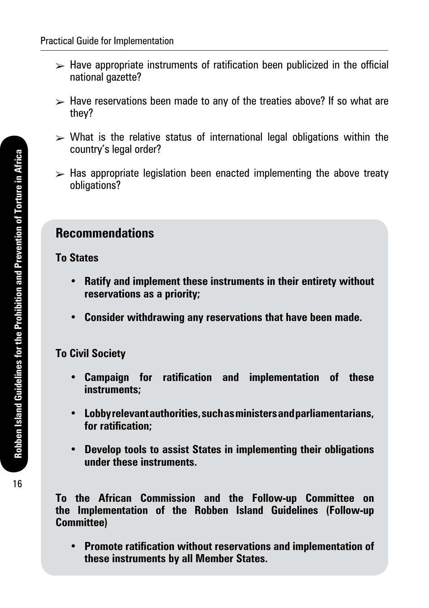- $\triangleright$  Have appropriate instruments of ratification been publicized in the official national gazette?
- $\triangleright$  Have reservations been made to any of the treaties above? If so what are they?
- $\triangleright$  What is the relative status of international legal obligations within the country's legal order?
- $\triangleright$  Has appropriate legislation been enacted implementing the above treaty obligations?

### **Recommendations**

#### **To States**

- **• Ratify and implement these instruments in their entirety without reservations as a priority;**
- **• Consider withdrawing any reservations that have been made.**

### **To Civil Society**

- **• Campaign for ratification and implementation of these instruments;**
- **• Lobby relevant authorities, such as ministers and parliamentarians, for ratification;**
- **• Develop tools to assist States in implementing their obligations under these instruments.**

**To the African Commission and the Follow-up Committee on the Implementation of the Robben Island Guidelines (Follow-up Committee)**

**• Promote ratification without reservations and implementation of these instruments by all Member States.**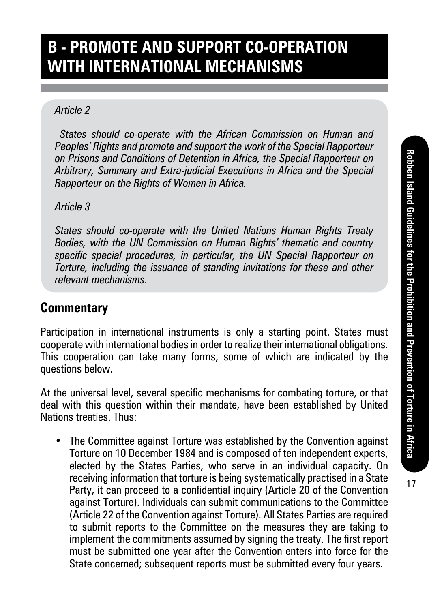# **B - Promote and support co-operation with international mechanisms**

#### *Article 2*

 *States should co-operate with the African Commission on Human and Peoples' Rights and promote and support the work of the Special Rapporteur on Prisons and Conditions of Detention in Africa, the Special Rapporteur on Arbitrary, Summary and Extra-judicial Executions in Africa and the Special Rapporteur on the Rights of Women in Africa.*

#### *Article 3*

*States should co-operate with the United Nations Human Rights Treaty Bodies, with the UN Commission on Human Rights' thematic and country specific special procedures, in particular, the UN Special Rapporteur on Torture, including the issuance of standing invitations for these and other relevant mechanisms.*

### **Commentary**

Participation in international instruments is only a starting point. States must cooperate with international bodies in order to realize their international obligations. This cooperation can take many forms, some of which are indicated by the questions below.

At the universal level, several specific mechanisms for combating torture, or that deal with this question within their mandate, have been established by United Nations treaties. Thus:

• The Committee against Torture was established by the Convention against Torture on 10 December 1984 and is composed of ten independent experts, elected by the States Parties, who serve in an individual capacity. On receiving information that torture is being systematically practised in a State Party, it can proceed to a confidential inquiry (Article 20 of the Convention against Torture). Individuals can submit communications to the Committee (Article 22 of the Convention against Torture). All States Parties are required to submit reports to the Committee on the measures they are taking to implement the commitments assumed by signing the treaty. The first report must be submitted one year after the Convention enters into force for the State concerned; subsequent reports must be submitted every four years.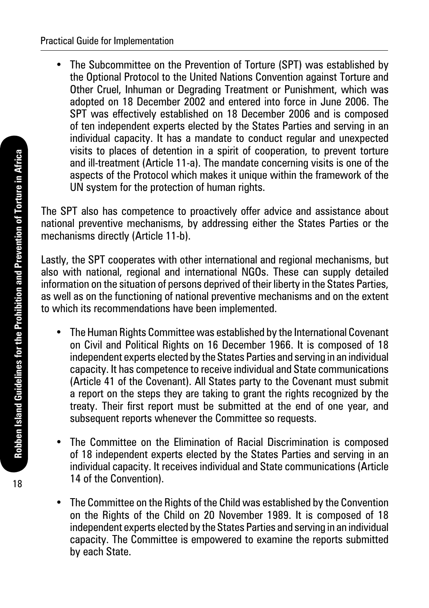• The Subcommittee on the Prevention of Torture (SPT) was established by the Optional Protocol to the United Nations Convention against Torture and Other Cruel, Inhuman or Degrading Treatment or Punishment, which was adopted on 18 December 2002 and entered into force in June 2006. The SPT was effectively established on 18 December 2006 and is composed of ten independent experts elected by the States Parties and serving in an individual capacity. It has a mandate to conduct regular and unexpected visits to places of detention in a spirit of cooperation, to prevent torture and ill-treatment (Article 11-a). The mandate concerning visits is one of the aspects of the Protocol which makes it unique within the framework of the UN system for the protection of human rights.

The SPT also has competence to proactively offer advice and assistance about national preventive mechanisms, by addressing either the States Parties or the mechanisms directly (Article 11-b).

Lastly, the SPT cooperates with other international and regional mechanisms, but also with national, regional and international NGOs. These can supply detailed information on the situation of persons deprived of their liberty in the States Parties, as well as on the functioning of national preventive mechanisms and on the extent to which its recommendations have been implemented.

- The Human Rights Committee was established by the International Covenant on Civil and Political Rights on 16 December 1966. It is composed of 18 independent experts elected by the States Parties and serving in an individual capacity. It has competence to receive individual and State communications (Article 41 of the Covenant). All States party to the Covenant must submit a report on the steps they are taking to grant the rights recognized by the treaty. Their first report must be submitted at the end of one year, and subsequent reports whenever the Committee so requests.
- The Committee on the Elimination of Racial Discrimination is composed of 18 independent experts elected by the States Parties and serving in an individual capacity. It receives individual and State communications (Article 14 of the Convention).
- The Committee on the Rights of the Child was established by the Convention on the Rights of the Child on 20 November 1989. It is composed of 18 independent experts elected by the States Parties and serving in an individual capacity. The Committee is empowered to examine the reports submitted by each State.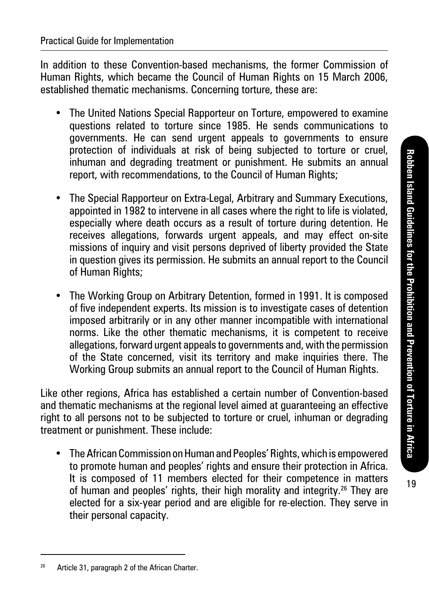19

In addition to these Convention-based mechanisms, the former Commission of Human Rights, which became the Council of Human Rights on 15 March 2006, established thematic mechanisms. Concerning torture, these are:

- The United Nations Special Rapporteur on Torture, empowered to examine questions related to torture since 1985. He sends communications to governments. He can send urgent appeals to governments to ensure protection of individuals at risk of being subjected to torture or cruel, inhuman and degrading treatment or punishment. He submits an annual report, with recommendations, to the Council of Human Rights;
- The Special Rapporteur on Extra-Legal, Arbitrary and Summary Executions, appointed in 1982 to intervene in all cases where the right to life is violated, especially where death occurs as a result of torture during detention. He receives allegations, forwards urgent appeals, and may effect on-site missions of inquiry and visit persons deprived of liberty provided the State in question gives its permission. He submits an annual report to the Council of Human Rights;
- The Working Group on Arbitrary Detention, formed in 1991. It is composed of five independent experts. Its mission is to investigate cases of detention imposed arbitrarily or in any other manner incompatible with international norms. Like the other thematic mechanisms, it is competent to receive allegations, forward urgent appeals to governments and, with the permission of the State concerned, visit its territory and make inquiries there. The Working Group submits an annual report to the Council of Human Rights.

Like other regions, Africa has established a certain number of Convention-based and thematic mechanisms at the regional level aimed at guaranteeing an effective right to all persons not to be subjected to torture or cruel, inhuman or degrading treatment or punishment. These include:

• The African Commission on Human and Peoples' Rights, which is empowered to promote human and peoples' rights and ensure their protection in Africa. It is composed of 11 members elected for their competence in matters of human and peoples' rights, their high morality and integrity.26 They are elected for a six-year period and are eligible for re-election. They serve in their personal capacity.

<sup>&</sup>lt;sup>26</sup> Article 31, paragraph 2 of the African Charter.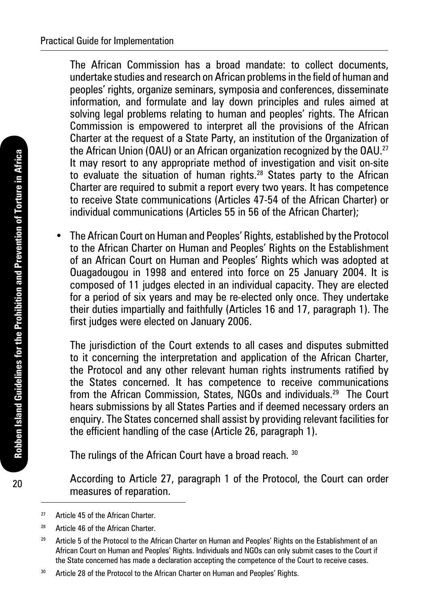The African Commission has a broad mandate: to collect documents, undertake studies and research on African problems in the field of human and peoples' rights, organize seminars, symposia and conferences, disseminate information, and formulate and lay down principles and rules aimed at solving legal problems relating to human and peoples' rights. The African Commission is empowered to interpret all the provisions of the African Charter at the request of a State Party, an institution of the Organization of the African Union (OAU) or an African organization recognized by the OAU.<sup>27</sup> It may resort to any appropriate method of investigation and visit on-site to evaluate the situation of human rights.28 States party to the African Charter are required to submit a report every two years. It has competence to receive State communications (Articles 47-54 of the African Charter) or individual communications (Articles 55 in 56 of the African Charter);

• The African Court on Human and Peoples' Rights, established by the Protocol to the African Charter on Human and Peoples' Rights on the Establishment of an African Court on Human and Peoples' Rights which was adopted at Ouagadougou in 1998 and entered into force on 25 January 2004. It is composed of 11 judges elected in an individual capacity. They are elected for a period of six years and may be re-elected only once. They undertake their duties impartially and faithfully (Articles 16 and 17, paragraph 1). The first judges were elected on January 2006.

The jurisdiction of the Court extends to all cases and disputes submitted to it concerning the interpretation and application of the African Charter, the Protocol and any other relevant human rights instruments ratified by the States concerned. It has competence to receive communications from the African Commission, States, NGOs and individuals.29 The Court hears submissions by all States Parties and if deemed necessary orders an enquiry. The States concerned shall assist by providing relevant facilities for the efficient handling of the case (Article 26, paragraph 1).

The rulings of the African Court have a broad reach. 30

According to Article 27, paragraph 1 of the Protocol, the Court can order measures of reparation.

20

<sup>27</sup> Article 45 of the African Charter

<sup>&</sup>lt;sup>28</sup> Article 46 of the African Charter.

<sup>&</sup>lt;sup>29</sup> Article 5 of the Protocol to the African Charter on Human and Peoples' Rights on the Establishment of an African Court on Human and Peoples' Rights. Individuals and NGOs can only submit cases to the Court if the State concerned has made a declaration accepting the competence of the Court to receive cases.

<sup>&</sup>lt;sup>30</sup> Article 28 of the Protocol to the African Charter on Human and Peoples' Rights.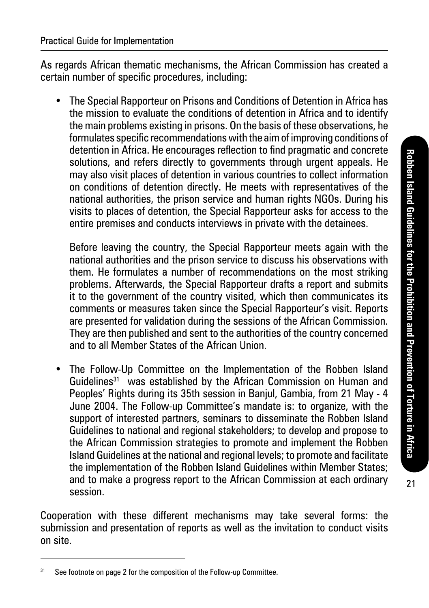21

As regards African thematic mechanisms, the African Commission has created a certain number of specific procedures, including:

• The Special Rapporteur on Prisons and Conditions of Detention in Africa has the mission to evaluate the conditions of detention in Africa and to identify the main problems existing in prisons. On the basis of these observations, he formulates specific recommendations with the aim of improving conditions of detention in Africa. He encourages reflection to find pragmatic and concrete solutions, and refers directly to governments through urgent appeals. He may also visit places of detention in various countries to collect information on conditions of detention directly. He meets with representatives of the national authorities, the prison service and human rights NGOs. During his visits to places of detention, the Special Rapporteur asks for access to the entire premises and conducts interviews in private with the detainees.

Before leaving the country, the Special Rapporteur meets again with the national authorities and the prison service to discuss his observations with them. He formulates a number of recommendations on the most striking problems. Afterwards, the Special Rapporteur drafts a report and submits it to the government of the country visited, which then communicates its comments or measures taken since the Special Rapporteur's visit. Reports are presented for validation during the sessions of the African Commission. They are then published and sent to the authorities of the country concerned and to all Member States of the African Union.

• The Follow-Up Committee on the Implementation of the Robben Island Guidelines<sup>31</sup> was established by the African Commission on Human and Peoples' Rights during its 35th session in Banjul, Gambia, from 21 May - 4 June 2004. The Follow-up Committee's mandate is: to organize, with the support of interested partners, seminars to disseminate the Robben Island Guidelines to national and regional stakeholders; to develop and propose to the African Commission strategies to promote and implement the Robben Island Guidelines at the national and regional levels; to promote and facilitate the implementation of the Robben Island Guidelines within Member States; and to make a progress report to the African Commission at each ordinary session.

Cooperation with these different mechanisms may take several forms: the submission and presentation of reports as well as the invitation to conduct visits on site.

<sup>&</sup>lt;sup>31</sup> See footnote on page 2 for the composition of the Follow-up Committee.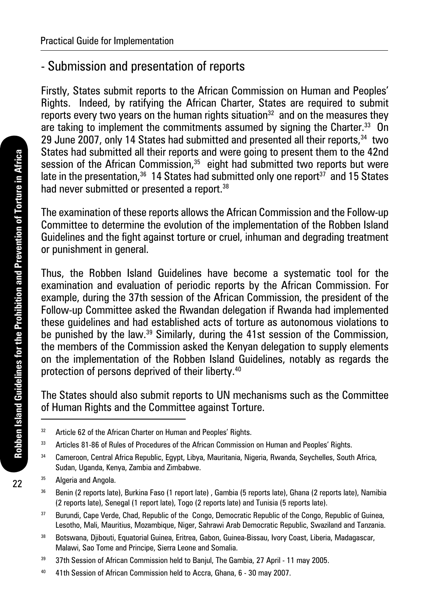## - Submission and presentation of reports

Firstly, States submit reports to the African Commission on Human and Peoples' Rights. Indeed, by ratifying the African Charter, States are required to submit reports every two years on the human rights situation<sup>32</sup> and on the measures they are taking to implement the commitments assumed by signing the Charter.<sup>33</sup> On 29 June 2007, only 14 States had submitted and presented all their reports.<sup>34</sup> two States had submitted all their reports and were going to present them to the 42nd session of the African Commission. $35$  eight had submitted two reports but were late in the presentation.<sup>36</sup> 14 States had submitted only one report<sup>37</sup> and 15 States had never submitted or presented a report.<sup>38</sup>

The examination of these reports allows the African Commission and the Follow-up Committee to determine the evolution of the implementation of the Robben Island Guidelines and the fight against torture or cruel, inhuman and degrading treatment or punishment in general.

Thus, the Robben Island Guidelines have become a systematic tool for the examination and evaluation of periodic reports by the African Commission. For example, during the 37th session of the African Commission, the president of the Follow-up Committee asked the Rwandan delegation if Rwanda had implemented these guidelines and had established acts of torture as autonomous violations to be punished by the law.<sup>39</sup> Similarly, during the 41st session of the Commission, the members of the Commission asked the Kenyan delegation to supply elements on the implementation of the Robben Island Guidelines, notably as regards the protection of persons deprived of their liberty.40

The States should also submit reports to UN mechanisms such as the Committee of Human Rights and the Committee against Torture.

22

<sup>&</sup>lt;sup>32</sup> Article 62 of the African Charter on Human and Peoples' Rights.

<sup>33</sup> Articles 81-86 of Rules of Procedures of the African Commission on Human and Peoples' Rights.

<sup>&</sup>lt;sup>34</sup> Cameroon, Central Africa Republic, Egypt, Libya, Mauritania, Nigeria, Rwanda, Seychelles, South Africa, Sudan, Uganda, Kenya, Zambia and Zimbabwe.

<sup>&</sup>lt;sup>35</sup> Algeria and Angola.

<sup>36</sup> Benin (2 reports late), Burkina Faso (1 report late) , Gambia (5 reports late), Ghana (2 reports late), Namibia (2 reports late), Senegal (1 report late), Togo (2 reports late) and Tunisia (5 reports late).

<sup>&</sup>lt;sup>37</sup> Burundi, Cape Verde, Chad, Republic of the Congo, Democratic Republic of the Congo, Republic of Guinea, Lesotho, Mali, Mauritius, Mozambique, Niger, Sahrawi Arab Democratic Republic, Swaziland and Tanzania.

<sup>38</sup> Botswana, Djibouti, Equatorial Guinea, Eritrea, Gabon, Guinea-Bissau, Ivory Coast, Liberia, Madagascar, Malawi, Sao Tome and Principe, Sierra Leone and Somalia.

<sup>&</sup>lt;sup>39</sup> 37th Session of African Commission held to Baniul, The Gambia, 27 April - 11 may 2005.

<sup>40</sup> 41th Session of African Commission held to Accra, Ghana, 6 - 30 may 2007.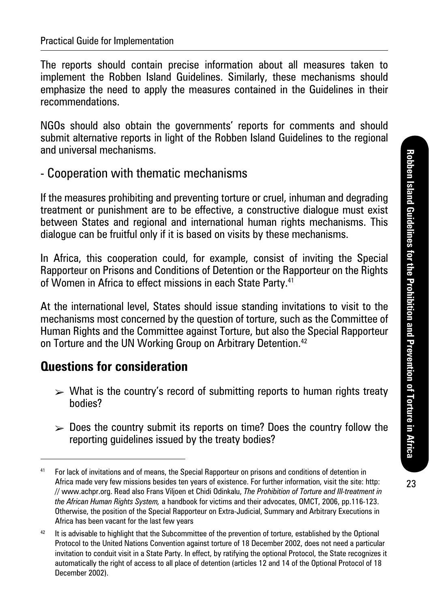The reports should contain precise information about all measures taken to implement the Robben Island Guidelines. Similarly, these mechanisms should emphasize the need to apply the measures contained in the Guidelines in their recommendations.

NGOs should also obtain the governments' reports for comments and should submit alternative reports in light of the Robben Island Guidelines to the regional and universal mechanisms.

### - Cooperation with thematic mechanisms

If the measures prohibiting and preventing torture or cruel, inhuman and degrading treatment or punishment are to be effective, a constructive dialogue must exist between States and regional and international human rights mechanisms. This dialogue can be fruitful only if it is based on visits by these mechanisms.

In Africa, this cooperation could, for example, consist of inviting the Special Rapporteur on Prisons and Conditions of Detention or the Rapporteur on the Rights of Women in Africa to effect missions in each State Party.<sup>41</sup>

At the international level, States should issue standing invitations to visit to the mechanisms most concerned by the question of torture, such as the Committee of Human Rights and the Committee against Torture, but also the Special Rapporteur on Torture and the UN Working Group on Arbitrary Detention.<sup>42</sup>

### **Questions for consideration**

- $\triangleright$  What is the country's record of submitting reports to human rights treaty bodies?
- $\geq 0$  Does the country submit its reports on time? Does the country follow the reporting guidelines issued by the treaty bodies?

<sup>41</sup> For lack of invitations and of means, the Special Rapporteur on prisons and conditions of detention in Africa made very few missions besides ten years of existence. For further information, visit the site: http: // www.achpr.org. Read also Frans Viljoen et Chidi Odinkalu, *The Prohibition of Torture and Ill-treatment in the African Human Rights System,* a handbook for victims and their advocates, OMCT, 2006, pp.116-123. Otherwise, the position of the Special Rapporteur on Extra-Judicial, Summary and Arbitrary Executions in Africa has been vacant for the last few years

<sup>&</sup>lt;sup>42</sup> It is advisable to highlight that the Subcommittee of the prevention of torture, established by the Optional Protocol to the United Nations Convention against torture of 18 December 2002, does not need a particular invitation to conduit visit in a State Party. In effect, by ratifying the optional Protocol, the State recognizes it automatically the right of access to all place of detention (articles 12 and 14 of the Optional Protocol of 18 December 2002).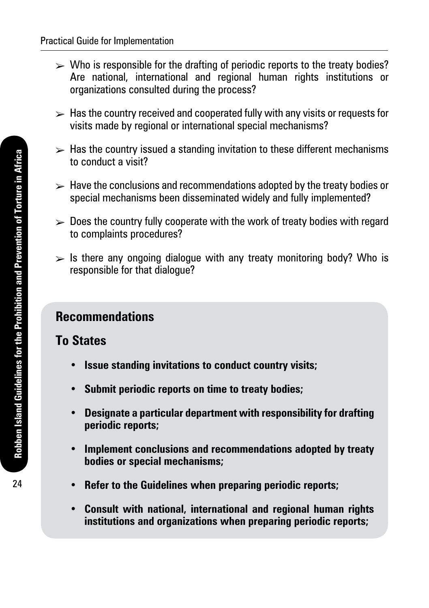- $\triangleright$  Who is responsible for the drafting of periodic reports to the treaty bodies? Are national, international and regional human rights institutions or organizations consulted during the process?
- $\triangleright$  Has the country received and cooperated fully with any visits or requests for visits made by regional or international special mechanisms?
- $\triangleright$  Has the country issued a standing invitation to these different mechanisms to conduct a visit?
- $\triangleright$  Have the conclusions and recommendations adopted by the treaty bodies or special mechanisms been disseminated widely and fully implemented?
- $\geq 0$  Does the country fully cooperate with the work of treaty bodies with regard to complaints procedures?
- $\triangleright$  Is there any ongoing dialogue with any treaty monitoring body? Who is responsible for that dialogue?

## **Recommendations**

### **To States**

- **• Issue standing invitations to conduct country visits;**
- **• Submit periodic reports on time to treaty bodies;**
- **• Designate a particular department with responsibility for drafting periodic reports;**
- **• Implement conclusions and recommendations adopted by treaty bodies or special mechanisms;**
- **• Refer to the Guidelines when preparing periodic reports;**
- **• Consult with national, international and regional human rights institutions and organizations when preparing periodic reports;**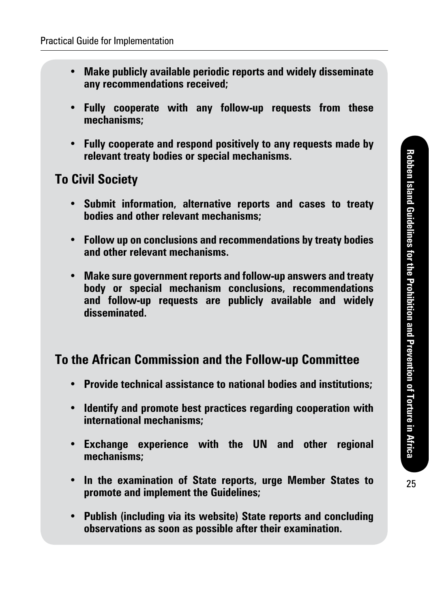- **• Make publicly available periodic reports and widely disseminate any recommendations received;**
- **• Fully cooperate with any follow-up requests from these mechanisms;**
- **• Fully cooperate and respond positively to any requests made by relevant treaty bodies or special mechanisms.**

### **To Civil Society**

- **• Submit information, alternative reports and cases to treaty bodies and other relevant mechanisms;**
- **• Follow up on conclusions and recommendations by treaty bodies and other relevant mechanisms.**
- **• Make sure government reports and follow-up answers and treaty body or special mechanism conclusions, recommendations and follow-up requests are publicly available and widely disseminated.**

### **To the African Commission and the Follow-up Committee**

- **• Provide technical assistance to national bodies and institutions;**
- **• Identify and promote best practices regarding cooperation with international mechanisms;**
- **• Exchange experience with the UN and other regional mechanisms;**
- **• In the examination of State reports, urge Member States to promote and implement the Guidelines;**
- **• Publish (including via its website) State reports and concluding observations as soon as possible after their examination.**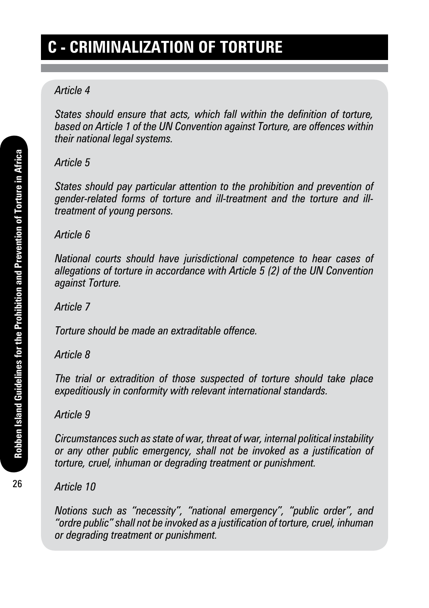# **C - Criminalization of torture**

#### *Article 4*

*States should ensure that acts, which fall within the definition of torture, based on Article 1 of the UN Convention against Torture, are offences within their national legal systems.*

#### *Article 5*

*States should pay particular attention to the prohibition and prevention of gender-related forms of torture and ill-treatment and the torture and illtreatment of young persons.*

*Article 6*

*National courts should have jurisdictional competence to hear cases of allegations of torture in accordance with Article 5 (2) of the UN Convention against Torture.*

*Article 7*

*Torture should be made an extraditable offence.*

### *Article 8*

*The trial or extradition of those suspected of torture should take place expeditiously in conformity with relevant international standards.*

*Article 9*

*Circumstances such as state of war, threat of war, internal political instability or any other public emergency, shall not be invoked as a justification of torture, cruel, inhuman or degrading treatment or punishment.*

*Article 10*

*Notions such as "necessity", "national emergency", "public order", and "ordre public" shall not be invoked as a justification of torture, cruel, inhuman or degrading treatment or punishment.*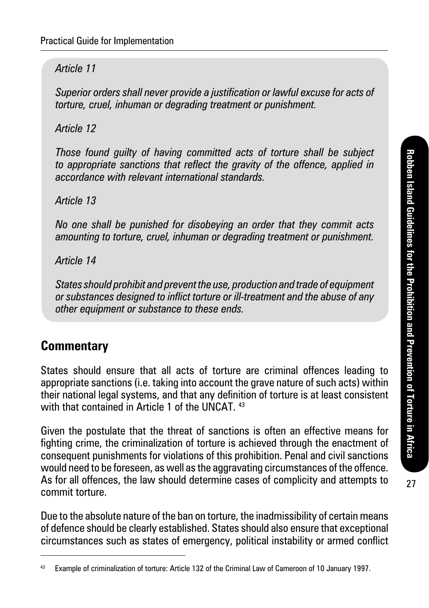#### *Article 11*

*Superior orders shall never provide a justification or lawful excuse for acts of torture, cruel, inhuman or degrading treatment or punishment.*

*Article 12*

*Those found guilty of having committed acts of torture shall be subject to appropriate sanctions that reflect the gravity of the offence, applied in accordance with relevant international standards.*

*Article 13*

*No one shall be punished for disobeying an order that they commit acts amounting to torture, cruel, inhuman or degrading treatment or punishment.*

*Article 14*

*States should prohibit and prevent the use, production and trade of equipment or substances designed to inflict torture or ill-treatment and the abuse of any other equipment or substance to these ends.*

### **Commentary**

States should ensure that all acts of torture are criminal offences leading to appropriate sanctions (i.e. taking into account the grave nature of such acts) within their national legal systems, and that any definition of torture is at least consistent with that contained in Article 1 of the UNCAT 43

Given the postulate that the threat of sanctions is often an effective means for fighting crime, the criminalization of torture is achieved through the enactment of consequent punishments for violations of this prohibition. Penal and civil sanctions would need to be foreseen, as well as the aggravating circumstances of the offence. As for all offences, the law should determine cases of complicity and attempts to commit torture.

Due to the absolute nature of the ban on torture, the inadmissibility of certain means of defence should be clearly established. States should also ensure that exceptional circumstances such as states of emergency, political instability or armed conflict

<sup>43</sup> Example of criminalization of torture: Article 132 of the Criminal Law of Cameroon of 10 January 1997.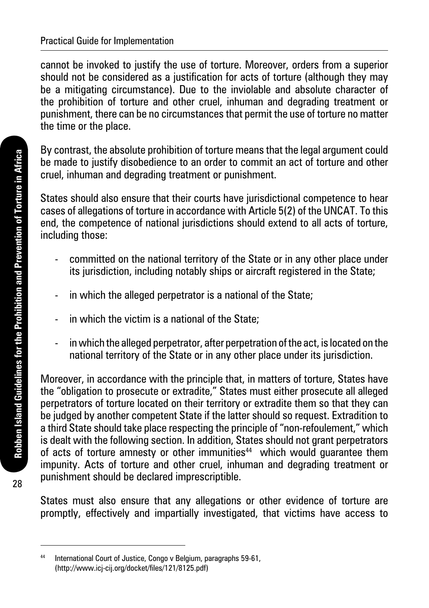cannot be invoked to justify the use of torture. Moreover, orders from a superior should not be considered as a justification for acts of torture (although they may be a mitigating circumstance). Due to the inviolable and absolute character of the prohibition of torture and other cruel, inhuman and degrading treatment or punishment, there can be no circumstances that permit the use of torture no matter the time or the place.

By contrast, the absolute prohibition of torture means that the legal argument could be made to justify disobedience to an order to commit an act of torture and other cruel, inhuman and degrading treatment or punishment.

States should also ensure that their courts have jurisdictional competence to hear cases of allegations of torture in accordance with Article 5(2) of the UNCAT. To this end, the competence of national jurisdictions should extend to all acts of torture, including those:

- committed on the national territory of the State or in any other place under its jurisdiction, including notably ships or aircraft registered in the State:
- in which the alleged perpetrator is a national of the State;
- in which the victim is a national of the State;
- in which the alleged perpetrator, after perpetration of the act, is located on the national territory of the State or in any other place under its jurisdiction.

Moreover, in accordance with the principle that, in matters of torture, States have the "obligation to prosecute or extradite," States must either prosecute all alleged perpetrators of torture located on their territory or extradite them so that they can be judged by another competent State if the latter should so request. Extradition to a third State should take place respecting the principle of "non-refoulement," which is dealt with the following section. In addition, States should not grant perpetrators of acts of torture amnesty or other immunities<sup>44</sup> which would quarantee them impunity. Acts of torture and other cruel, inhuman and degrading treatment or punishment should be declared imprescriptible.

States must also ensure that any allegations or other evidence of torture are promptly, effectively and impartially investigated, that victims have access to

28

<sup>44</sup> International Court of Justice, Congo v Belgium, paragraphs 59-61, (http://www.icj-cij.org/docket/files/121/8125.pdf)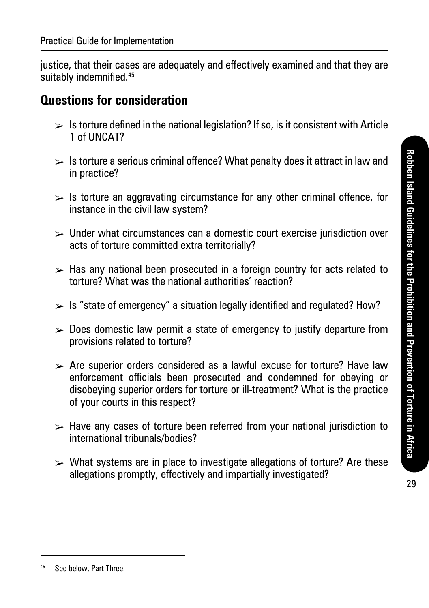justice, that their cases are adequately and effectively examined and that they are suitably indemnified.<sup>45</sup>

### **Questions for consideration**

- $\triangleright$  Is torture defined in the national legislation? If so, is it consistent with Article 1 of UNCAT?
- $\triangleright$  Is torture a serious criminal offence? What penalty does it attract in law and in practice?
- $\triangleright$  Is torture an aggravating circumstance for any other criminal offence, for instance in the civil law system?
- $\triangleright$  Under what circumstances can a domestic court exercise jurisdiction over acts of torture committed extra-territorially?
- $\geq$  Has any national been prosecuted in a foreign country for acts related to torture? What was the national authorities' reaction?
- $\triangleright$  Is "state of emergency" a situation legally identified and regulated? How?
- $\triangleright$  Does domestic law permit a state of emergency to justify departure from provisions related to torture?
- $\triangleright$  Are superior orders considered as a lawful excuse for torture? Have law enforcement officials been prosecuted and condemned for obeying or disobeying superior orders for torture or ill-treatment? What is the practice of your courts in this respect?
- $\triangleright$  Have any cases of torture been referred from your national jurisdiction to international tribunals/bodies?
- $\triangleright$  What systems are in place to investigate allegations of torture? Are these allegations promptly, effectively and impartially investigated?

<sup>45</sup> See below, Part Three.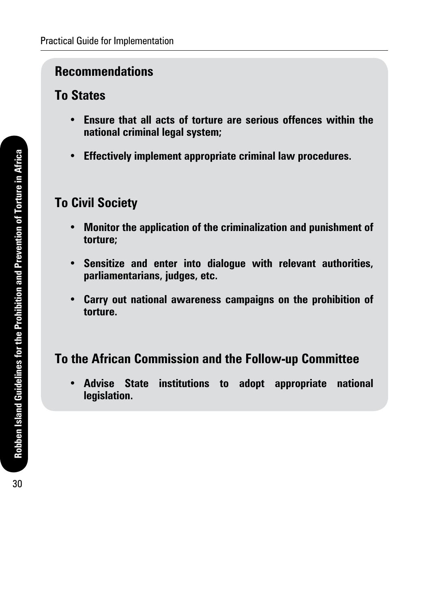### **Recommendations**

### **To States**

- **• Ensure that all acts of torture are serious offences within the national criminal legal system;**
- **• Effectively implement appropriate criminal law procedures.**

## **To Civil Society**

- **• Monitor the application of the criminalization and punishment of torture;**
- **• Sensitize and enter into dialogue with relevant authorities, parliamentarians, judges, etc.**
- **• Carry out national awareness campaigns on the prohibition of torture.**

## **To the African Commission and the Follow-up Committee**

**• Advise State institutions to adopt appropriate national legislation.**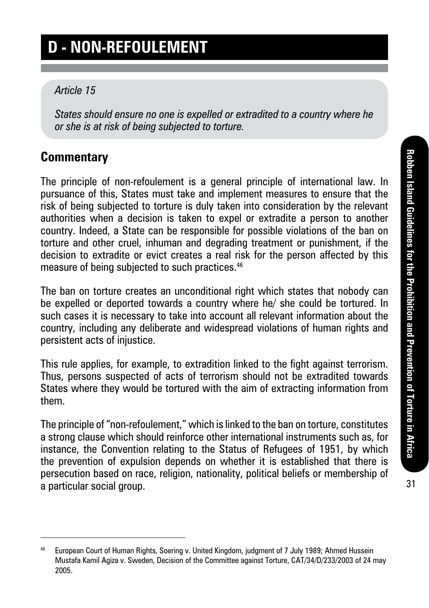# **D - Non-refoulement**

#### *Article 15*

*States should ensure no one is expelled or extradited to a country where he or she is at risk of being subjected to torture.*

### **Commentary**

The principle of non-refoulement is a general principle of international law. In pursuance of this, States must take and implement measures to ensure that the risk of being subjected to torture is duly taken into consideration by the relevant authorities when a decision is taken to expel or extradite a person to another country. Indeed, a State can be responsible for possible violations of the ban on torture and other cruel, inhuman and degrading treatment or punishment, if the decision to extradite or evict creates a real risk for the person affected by this measure of being subjected to such practices.<sup>46</sup>

The ban on torture creates an unconditional right which states that nobody can be expelled or deported towards a country where he/ she could be tortured. In such cases it is necessary to take into account all relevant information about the country, including any deliberate and widespread violations of human rights and persistent acts of injustice.

This rule applies, for example, to extradition linked to the fight against terrorism. Thus, persons suspected of acts of terrorism should not be extradited towards States where they would be tortured with the aim of extracting information from them.

The principle of "non-refoulement," which is linked to the ban on torture, constitutes a strong clause which should reinforce other international instruments such as, for instance, the Convention relating to the Status of Refugees of 1951, by which the prevention of expulsion depends on whether it is established that there is persecution based on race, religion, nationality, political beliefs or membership of a particular social group.

<sup>46</sup> European Court of Human Rights, Soering v. United Kingdom, judgment of 7 July 1989; Ahmed Hussein Mustafa Kamil Agiza v. Sweden, Decision of the Committee against Torture, CAT/34/D/233/2003 of 24 may 2005.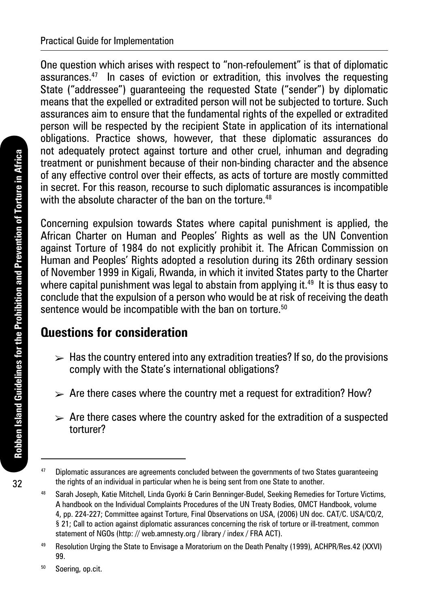One question which arises with respect to "non-refoulement" is that of diplomatic assurances.47 In cases of eviction or extradition, this involves the requesting State ("addressee") guaranteeing the requested State ("sender") by diplomatic means that the expelled or extradited person will not be subjected to torture. Such assurances aim to ensure that the fundamental rights of the expelled or extradited person will be respected by the recipient State in application of its international obligations. Practice shows, however, that these diplomatic assurances do not adequately protect against torture and other cruel, inhuman and degrading treatment or punishment because of their non-binding character and the absence of any effective control over their effects, as acts of torture are mostly committed in secret. For this reason, recourse to such diplomatic assurances is incompatible with the absolute character of the ban on the torture.<sup>48</sup>

Concerning expulsion towards States where capital punishment is applied, the African Charter on Human and Peoples' Rights as well as the UN Convention against Torture of 1984 do not explicitly prohibit it. The African Commission on Human and Peoples' Rights adopted a resolution during its 26th ordinary session of November 1999 in Kigali, Rwanda, in which it invited States party to the Charter where capital punishment was legal to abstain from applying it.<sup>49</sup> It is thus easy to conclude that the expulsion of a person who would be at risk of receiving the death sentence would be incompatible with the ban on torture.<sup>50</sup>

### **Questions for consideration**

- $\triangleright$  Has the country entered into any extradition treaties? If so, do the provisions comply with the State's international obligations?
- $\triangleright$  Are there cases where the country met a request for extradition? How?
- $\triangleright$  Are there cases where the country asked for the extradition of a suspected torturer?

<sup>47</sup> Diplomatic assurances are agreements concluded between the governments of two States guaranteeing the rights of an individual in particular when he is being sent from one State to another.

<sup>48</sup> Sarah Joseph, Katie Mitchell, Linda Gyorki & Carin Benninger-Budel, Seeking Remedies for Torture Victims, A handbook on the Individual Complaints Procedures of the UN Treaty Bodies, OMCT Handbook, volume 4, pp. 224-227; Committee against Torture, Final Observations on USA, (2006) UN doc. CAT/C. USA/CO/2, § 21; Call to action against diplomatic assurances concerning the risk of torture or ill-treatment, common statement of NGOs (http: // web.amnesty.org / library / index / FRA ACT).

<sup>49</sup> Resolution Urging the State to Envisage a Moratorium on the Death Penalty (1999), ACHPR/Res.42 (XXVI) 99.

<sup>&</sup>lt;sup>50</sup> Soering, op.cit.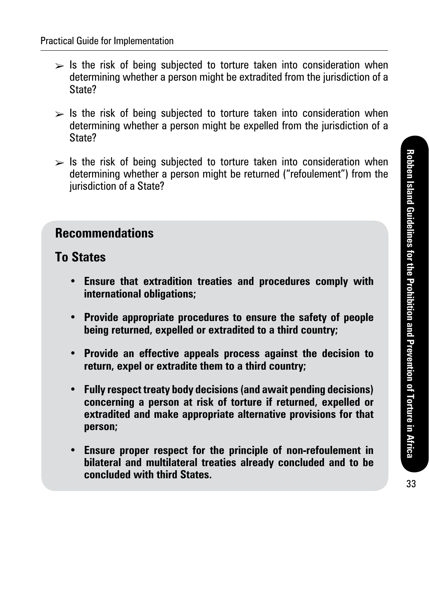- $\triangleright$  Is the risk of being subjected to torture taken into consideration when determining whether a person might be extradited from the jurisdiction of a State?
- $\triangleright$  Is the risk of being subjected to torture taken into consideration when determining whether a person might be expelled from the jurisdiction of a State?
- $\triangleright$  Is the risk of being subjected to torture taken into consideration when determining whether a person might be returned ("refoulement") from the jurisdiction of a State?

#### **To States**

- **• Ensure that extradition treaties and procedures comply with international obligations;**
- **• Provide appropriate procedures to ensure the safety of people being returned, expelled or extradited to a third country;**
- **• Provide an effective appeals process against the decision to return, expel or extradite them to a third country;**
- **• Fully respect treaty body decisions (and await pending decisions) concerning a person at risk of torture if returned, expelled or extradited and make appropriate alternative provisions for that person;**
- **• Ensure proper respect for the principle of non-refoulement in bilateral and multilateral treaties already concluded and to be concluded with third States.**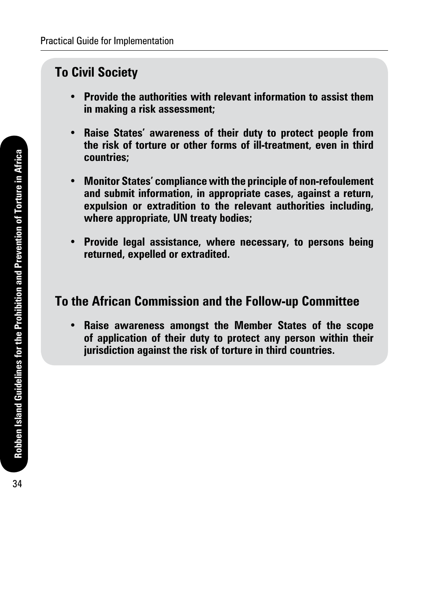### **To Civil Society**

- **• Provide the authorities with relevant information to assist them in making a risk assessment;**
- **• Raise States' awareness of their duty to protect people from the risk of torture or other forms of ill-treatment, even in third countries;**
- **• Monitor States' compliance with the principle of non-refoulement and submit information, in appropriate cases, against a return, expulsion or extradition to the relevant authorities including, where appropriate, UN treaty bodies;**
- **• Provide legal assistance, where necessary, to persons being returned, expelled or extradited.**

#### **To the African Commission and the Follow-up Committee**

**• Raise awareness amongst the Member States of the scope of application of their duty to protect any person within their jurisdiction against the risk of torture in third countries.**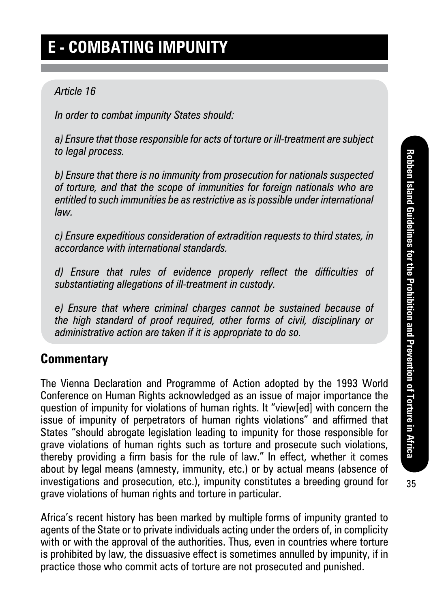# **E - Combating impunity**

#### *Article 16*

*In order to combat impunity States should:*

*a) Ensure that those responsible for acts of torture or ill-treatment are subject to legal process.*

*b) Ensure that there is no immunity from prosecution for nationals suspected of torture, and that the scope of immunities for foreign nationals who are entitled to such immunities be as restrictive as is possible under international law.*

*c) Ensure expeditious consideration of extradition requests to third states, in accordance with international standards.*

*d) Ensure that rules of evidence properly reflect the difficulties of substantiating allegations of ill-treatment in custody.*

*e) Ensure that where criminal charges cannot be sustained because of the high standard of proof required, other forms of civil, disciplinary or administrative action are taken if it is appropriate to do so.*

#### **Commentary**

The Vienna Declaration and Programme of Action adopted by the 1993 World Conference on Human Rights acknowledged as an issue of major importance the question of impunity for violations of human rights. It "view[ed] with concern the issue of impunity of perpetrators of human rights violations" and affirmed that States "should abrogate legislation leading to impunity for those responsible for grave violations of human rights such as torture and prosecute such violations, thereby providing a firm basis for the rule of law." In effect, whether it comes about by legal means (amnesty, immunity, etc.) or by actual means (absence of investigations and prosecution, etc.), impunity constitutes a breeding ground for grave violations of human rights and torture in particular.

Africa's recent history has been marked by multiple forms of impunity granted to agents of the State or to private individuals acting under the orders of, in complicity with or with the approval of the authorities. Thus, even in countries where torture is prohibited by law, the dissuasive effect is sometimes annulled by impunity, if in practice those who commit acts of torture are not prosecuted and punished.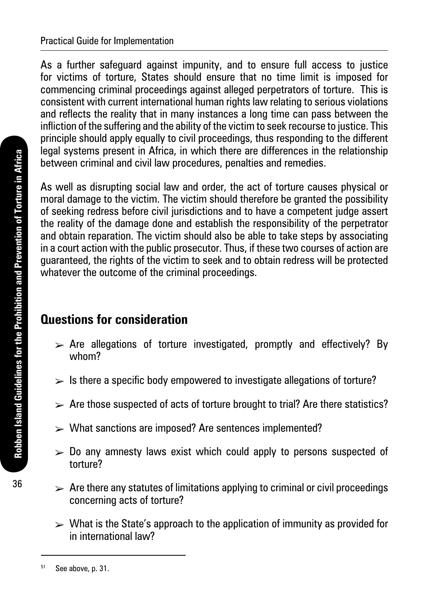As a further safeguard against impunity, and to ensure full access to justice for victims of torture, States should ensure that no time limit is imposed for commencing criminal proceedings against alleged perpetrators of torture. This is consistent with current international human rights law relating to serious violations and reflects the reality that in many instances a long time can pass between the infliction of the suffering and the ability of the victim to seek recourse to justice. This principle should apply equally to civil proceedings, thus responding to the different legal systems present in Africa, in which there are differences in the relationship between criminal and civil law procedures, penalties and remedies.

As well as disrupting social law and order, the act of torture causes physical or moral damage to the victim. The victim should therefore be granted the possibility of seeking redress before civil jurisdictions and to have a competent judge assert the reality of the damage done and establish the responsibility of the perpetrator and obtain reparation. The victim should also be able to take steps by associating in a court action with the public prosecutor. Thus, if these two courses of action are guaranteed, the rights of the victim to seek and to obtain redress will be protected whatever the outcome of the criminal proceedings.

### **Questions for consideration**

- $\triangleright$  Are allegations of torture investigated, promptly and effectively? By whom?
- $\triangleright$  Is there a specific body empowered to investigate allegations of torture?
- $\triangleright$  Are those suspected of acts of torture brought to trial? Are there statistics?
- $\triangleright$  What sanctions are imposed? Are sentences implemented?
- $\geq 0$  any amnesty laws exist which could apply to persons suspected of torture?
- $\triangleright$  Are there any statutes of limitations applying to criminal or civil proceedings concerning acts of torture?
- $\triangleright$  What is the State's approach to the application of immunity as provided for in international law?

 $51$  See above, p. 31.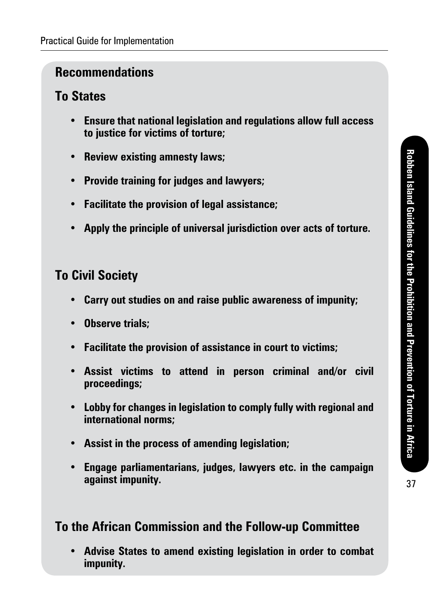#### **To States**

- **• Ensure that national legislation and regulations allow full access to justice for victims of torture;**
- **• Review existing amnesty laws;**
- **• Provide training for judges and lawyers;**
- **• Facilitate the provision of legal assistance;**
- **• Apply the principle of universal jurisdiction over acts of torture.**

### **To Civil Society**

- **• Carry out studies on and raise public awareness of impunity;**
- **• Observe trials;**
- **• Facilitate the provision of assistance in court to victims;**
- **• Assist victims to attend in person criminal and/or civil proceedings;**
- **• Lobby for changes in legislation to comply fully with regional and international norms;**
- **• Assist in the process of amending legislation;**
- **• Engage parliamentarians, judges, lawyers etc. in the campaign against impunity.**

### **To the African Commission and the Follow-up Committee**

**• Advise States to amend existing legislation in order to combat impunity.**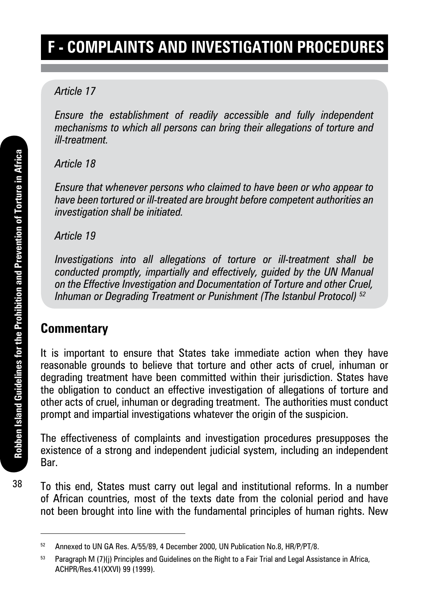# **F - Complaints and investigation procedures**

#### *Article 17*

*Ensure the establishment of readily accessible and fully independent mechanisms to which all persons can bring their allegations of torture and ill-treatment.*

#### *Article 18*

*Ensure that whenever persons who claimed to have been or who appear to have been tortured or ill-treated are brought before competent authorities an investigation shall be initiated.*

*Article 19*

*Investigations into all allegations of torture or ill-treatment shall be conducted promptly, impartially and effectively, guided by the UN Manual on the Effective Investigation and Documentation of Torture and other Cruel, Inhuman or Degrading Treatment or Punishment (The Istanbul Protocol) 52*

#### **Commentary**

It is important to ensure that States take immediate action when they have reasonable grounds to believe that torture and other acts of cruel, inhuman or degrading treatment have been committed within their jurisdiction. States have the obligation to conduct an effective investigation of allegations of torture and other acts of cruel, inhuman or degrading treatment. The authorities must conduct prompt and impartial investigations whatever the origin of the suspicion.

The effectiveness of complaints and investigation procedures presupposes the existence of a strong and independent judicial system, including an independent Bar.

To this end, States must carry out legal and institutional reforms. In a number of African countries, most of the texts date from the colonial period and have not been brought into line with the fundamental principles of human rights. New

<sup>52</sup> Annexed to UN GA Res. A/55/89, 4 December 2000, UN Publication No.8, HR/P/PT/8.

 $53$  Paragraph M (7)(j) Principles and Guidelines on the Right to a Fair Trial and Legal Assistance in Africa, ACHPR/Res.41(XXVI) 99 (1999).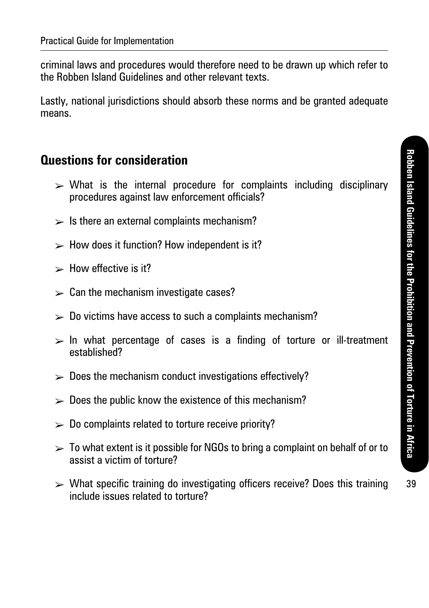criminal laws and procedures would therefore need to be drawn up which refer to the Robben Island Guidelines and other relevant texts.

Lastly, national jurisdictions should absorb these norms and be granted adequate means.

#### **Questions for consideration**

- $\triangleright$  What is the internal procedure for complaints including disciplinary procedures against law enforcement officials?
- $\geq$  Is there an external complaints mechanism?
- $\blacktriangleright$  How does it function? How independent is it?
- $\blacktriangleright$  How effective is it?
- $\geq$  Can the mechanism investigate cases?
- $\mathcal{P}$  Do victims have access to such a complaints mechanism?
- $>$  In what percentage of cases is a finding of torture or ill-treatment established?
- $\triangleright$  Does the mechanism conduct investigations effectively?
- $\geq 0$  Does the public know the existence of this mechanism?
- $\triangleright$  Do complaints related to torture receive priority?
- $\geq$  To what extent is it possible for NGOs to bring a complaint on behalf of or to assist a victim of torture?
- $\triangleright$  What specific training do investigating officers receive? Does this training include issues related to torture?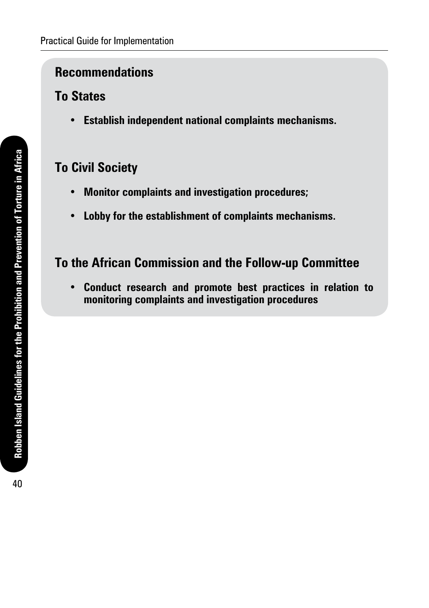#### **To States**

**• Establish independent national complaints mechanisms.**

### **To Civil Society**

- **• Monitor complaints and investigation procedures;**
- **• Lobby for the establishment of complaints mechanisms.**

#### **To the African Commission and the Follow-up Committee**

**• Conduct research and promote best practices in relation to monitoring complaints and investigation procedures**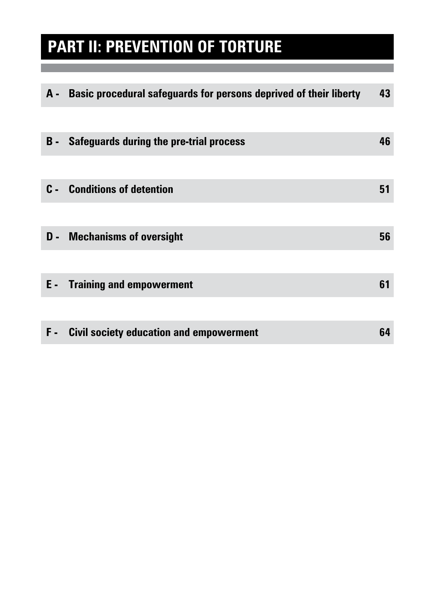# **Part II: Prevention of Torture**

|            | A - Basic procedural safeguards for persons deprived of their liberty | 43 |
|------------|-----------------------------------------------------------------------|----|
|            |                                                                       |    |
| <b>B</b> - | <b>Safeguards during the pre-trial process</b>                        | 46 |
|            |                                                                       |    |
|            | <b>C</b> - Conditions of detention                                    | 51 |
|            |                                                                       |    |
|            | <b>D</b> - Mechanisms of oversight                                    | 56 |
|            |                                                                       |    |
|            | <b>E</b> - Training and empowerment                                   | 61 |
|            |                                                                       |    |
| F.         | <b>Civil society education and empowerment</b>                        | 64 |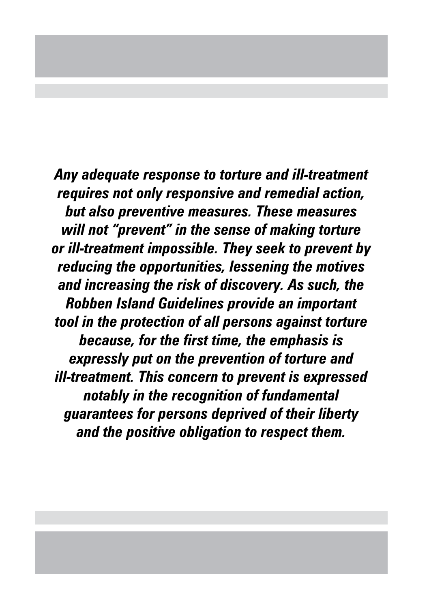*Any adequate response to torture and ill-treatment requires not only responsive and remedial action, but also preventive measures. These measures will not "prevent" in the sense of making torture or ill-treatment impossible. They seek to prevent by reducing the opportunities, lessening the motives and increasing the risk of discovery. As such, the Robben Island Guidelines provide an important tool in the protection of all persons against torture because, for the first time, the emphasis is expressly put on the prevention of torture and ill-treatment. This concern to prevent is expressed notably in the recognition of fundamental guarantees for persons deprived of their liberty and the positive obligation to respect them.*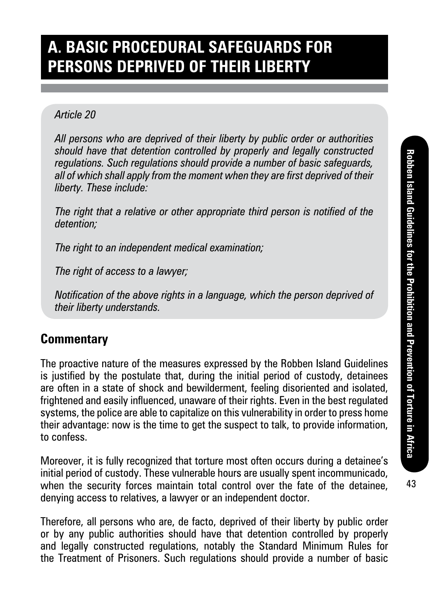# **A. Basic procedural safeguards for persons deprived of their liberty**

#### *Article 20*

*All persons who are deprived of their liberty by public order or authorities should have that detention controlled by properly and legally constructed regulations. Such regulations should provide a number of basic safeguards, all of which shall apply from the moment when they are first deprived of their liberty. These include:*

*The right that a relative or other appropriate third person is notified of the detention;*

*The right to an independent medical examination;*

*The right of access to a lawyer;*

*Notification of the above rights in a language, which the person deprived of their liberty understands.*

### **Commentary**

The proactive nature of the measures expressed by the Robben Island Guidelines is justified by the postulate that, during the initial period of custody, detainees are often in a state of shock and bewilderment, feeling disoriented and isolated, frightened and easily influenced, unaware of their rights. Even in the best regulated systems, the police are able to capitalize on this vulnerability in order to press home their advantage: now is the time to get the suspect to talk, to provide information, to confess.

Moreover, it is fully recognized that torture most often occurs during a detainee's initial period of custody. These vulnerable hours are usually spent incommunicado, when the security forces maintain total control over the fate of the detainee, denying access to relatives, a lawyer or an independent doctor.

Therefore, all persons who are, de facto, deprived of their liberty by public order or by any public authorities should have that detention controlled by properly and legally constructed regulations, notably the Standard Minimum Rules for the Treatment of Prisoners. Such regulations should provide a number of basic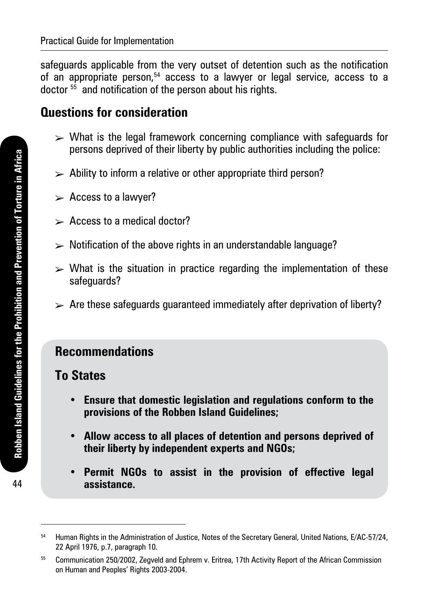safeguards applicable from the very outset of detention such as the notification of an appropriate person, $54$  access to a lawyer or legal service, access to a doctor <sup>55</sup> and notification of the person about his rights.

#### **Questions for consideration**

- $\geq$  What is the legal framework concerning compliance with safeguards for persons deprived of their liberty by public authorities including the police:
- $\geq$  Ability to inform a relative or other appropriate third person?
- $\triangleright$  Access to a lawyer?
- $\triangleright$  Access to a medical doctor?
- $\triangleright$  Notification of the above rights in an understandable language?
- $\triangleright$  What is the situation in practice regarding the implementation of these safeguards?
- $\triangleright$  Are these safeguards guaranteed immediately after deprivation of liberty?

#### **Recommendations**

#### **To States**

- **• Ensure that domestic legislation and regulations conform to the provisions of the Robben Island Guidelines;**
- **• Allow access to all places of detention and persons deprived of their liberty by independent experts and NGOs;**
- **• Permit NGOs to assist in the provision of effective legal assistance.**

<sup>54</sup> Human Rights in the Administration of Justice, Notes of the Secretary General, United Nations, E/AC-57/24, 22 April 1976, p.7, paragraph 10.

<sup>&</sup>lt;sup>55</sup> Communication 250/2002, Zegveld and Ephrem v. Eritrea, 17th Activity Report of the African Commission on Human and Peoples' Rights 2003-2004.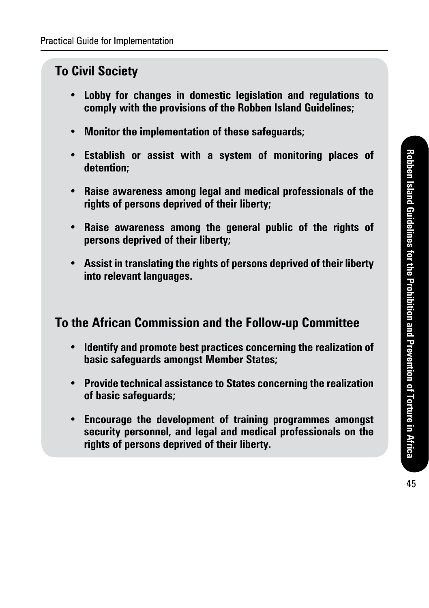### **To Civil Society**

- **• Lobby for changes in domestic legislation and regulations to comply with the provisions of the Robben Island Guidelines;**
- **• Monitor the implementation of these safeguards;**
- **• Establish or assist with a system of monitoring places of detention;**
- **• Raise awareness among legal and medical professionals of the rights of persons deprived of their liberty;**
- **• Raise awareness among the general public of the rights of persons deprived of their liberty;**
- **• Assist in translating the rights of persons deprived of their liberty into relevant languages.**

#### **To the African Commission and the Follow-up Committee**

- **• Identify and promote best practices concerning the realization of basic safeguards amongst Member States;**
- **• Provide technical assistance to States concerning the realization of basic safeguards;**
- **• Encourage the development of training programmes amongst security personnel, and legal and medical professionals on the rights of persons deprived of their liberty.**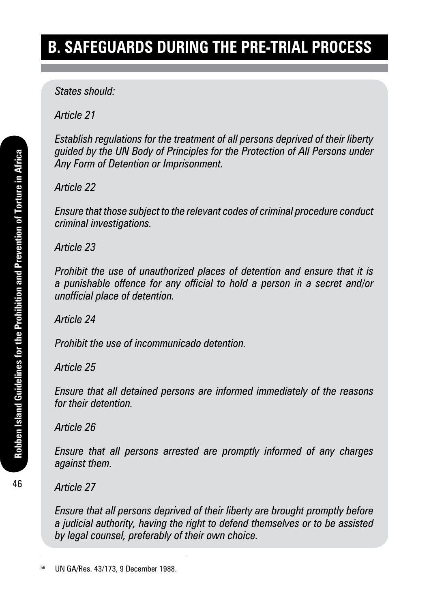# **B. Safeguards during the pre-trial process**

*States should:* 

*Article 21*

*Establish regulations for the treatment of all persons deprived of their liberty guided by the UN Body of Principles for the Protection of All Persons under Any Form of Detention or Imprisonment.* 

*Article 22*

*Ensure that those subject to the relevant codes of criminal procedure conduct criminal investigations.*

*Article 23*

*Prohibit the use of unauthorized places of detention and ensure that it is a punishable offence for any official to hold a person in a secret and/or unofficial place of detention.*

*Article 24*

*Prohibit the use of incommunicado detention.*

#### *Article 25*

*Ensure that all detained persons are informed immediately of the reasons for their detention.*

*Article 26*

*Ensure that all persons arrested are promptly informed of any charges against them.*

*Article 27*

*Ensure that all persons deprived of their liberty are brought promptly before a judicial authority, having the right to defend themselves or to be assisted by legal counsel, preferably of their own choice.*

<sup>56</sup> UN GA/Res. 43/173, 9 December 1988.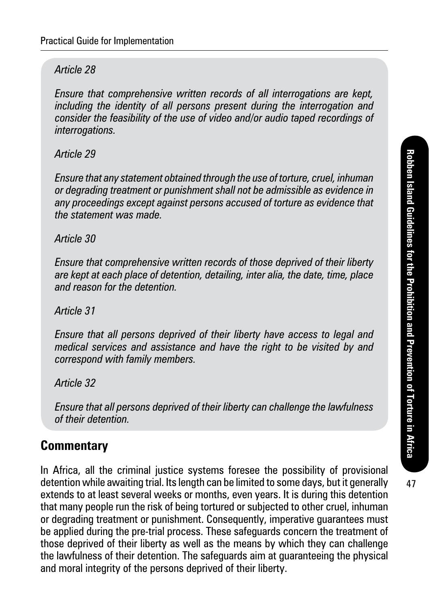#### *Article 28*

*Ensure that comprehensive written records of all interrogations are kept, including the identity of all persons present during the interrogation and consider the feasibility of the use of video and/or audio taped recordings of interrogations.*

#### *Article 29*

*Ensure that any statement obtained through the use of torture, cruel, inhuman or degrading treatment or punishment shall not be admissible as evidence in any proceedings except against persons accused of torture as evidence that the statement was made.*

#### *Article 30*

*Ensure that comprehensive written records of those deprived of their liberty are kept at each place of detention, detailing, inter alia, the date, time, place and reason for the detention.*

#### *Article 31*

*Ensure that all persons deprived of their liberty have access to legal and medical services and assistance and have the right to be visited by and correspond with family members.*

*Article 32*

*Ensure that all persons deprived of their liberty can challenge the lawfulness of their detention.*

#### **Commentary**

In Africa, all the criminal justice systems foresee the possibility of provisional detention while awaiting trial. Its length can be limited to some days, but it generally extends to at least several weeks or months, even years. It is during this detention that many people run the risk of being tortured or subjected to other cruel, inhuman or degrading treatment or punishment. Consequently, imperative guarantees must be applied during the pre-trial process. These safeguards concern the treatment of those deprived of their liberty as well as the means by which they can challenge the lawfulness of their detention. The safeguards aim at guaranteeing the physical and moral integrity of the persons deprived of their liberty.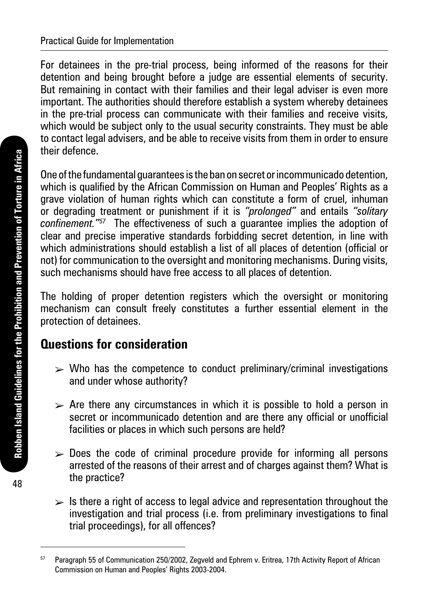For detainees in the pre-trial process, being informed of the reasons for their detention and being brought before a judge are essential elements of security. But remaining in contact with their families and their legal adviser is even more important. The authorities should therefore establish a system whereby detainees in the pre-trial process can communicate with their families and receive visits, which would be subject only to the usual security constraints. They must be able to contact legal advisers, and be able to receive visits from them in order to ensure their defence.

One of the fundamental guarantees is the ban on secret or incommunicado detention, which is qualified by the African Commission on Human and Peoples' Rights as a grave violation of human rights which can constitute a form of cruel, inhuman or degrading treatment or punishment if it is *"prolonged"* and entails *"solitary confinement."57* The effectiveness of such a guarantee implies the adoption of clear and precise imperative standards forbidding secret detention, in line with which administrations should establish a list of all places of detention (official or not) for communication to the oversight and monitoring mechanisms. During visits, such mechanisms should have free access to all places of detention.

The holding of proper detention registers which the oversight or monitoring mechanism can consult freely constitutes a further essential element in the protection of detainees.

### **Questions for consideration**

- $\triangleright$  Who has the competence to conduct preliminary/criminal investigations and under whose authority?
- $\triangleright$  Are there any circumstances in which it is possible to hold a person in secret or incommunicado detention and are there any official or unofficial facilities or places in which such persons are held?
- $\geq$  Does the code of criminal procedure provide for informing all persons arrested of the reasons of their arrest and of charges against them? What is the practice?
- $\triangleright$  Is there a right of access to legal advice and representation throughout the investigation and trial process (i.e. from preliminary investigations to final trial proceedings), for all offences?

<sup>&</sup>lt;sup>57</sup> Paragraph 55 of Communication 250/2002, Zegveld and Ephrem v. Eritrea, 17th Activity Report of African Commission on Human and Peoples' Rights 2003-2004.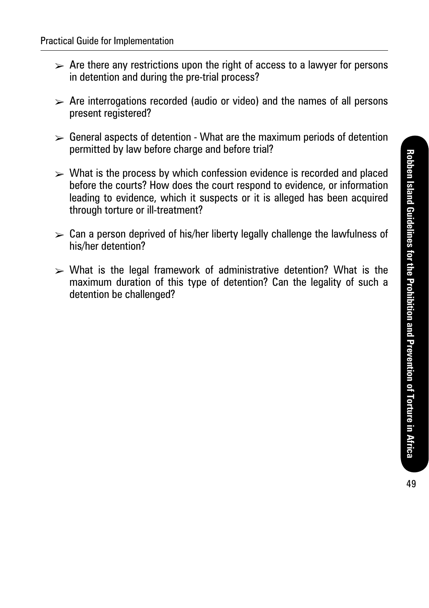- $\triangleright$  Are there any restrictions upon the right of access to a lawyer for persons in detention and during the pre-trial process?
- $\triangleright$  Are interrogations recorded (audio or video) and the names of all persons present registered?
- $\triangleright$  General aspects of detention What are the maximum periods of detention permitted by law before charge and before trial?
- $\triangleright$  What is the process by which confession evidence is recorded and placed before the courts? How does the court respond to evidence, or information leading to evidence, which it suspects or it is alleged has been acquired through torture or ill-treatment?
- $\triangleright$  Can a person deprived of his/her liberty legally challenge the lawfulness of his/her detention?
- $\triangleright$  What is the legal framework of administrative detention? What is the maximum duration of this type of detention? Can the legality of such a detention be challenged?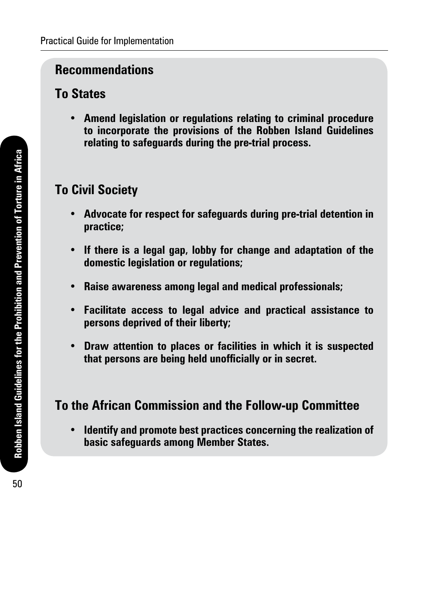#### **To States**

**• Amend legislation or regulations relating to criminal procedure to incorporate the provisions of the Robben Island Guidelines relating to safeguards during the pre-trial process.** 

### **To Civil Society**

- **• Advocate for respect for safeguards during pre-trial detention in practice;**
- **• If there is a legal gap, lobby for change and adaptation of the domestic legislation or regulations;**
- **• Raise awareness among legal and medical professionals;**
- **• Facilitate access to legal advice and practical assistance to persons deprived of their liberty;**
- **• Draw attention to places or facilities in which it is suspected that persons are being held unofficially or in secret.**

### **To the African Commission and the Follow-up Committee**

**• Identify and promote best practices concerning the realization of basic safeguards among Member States.**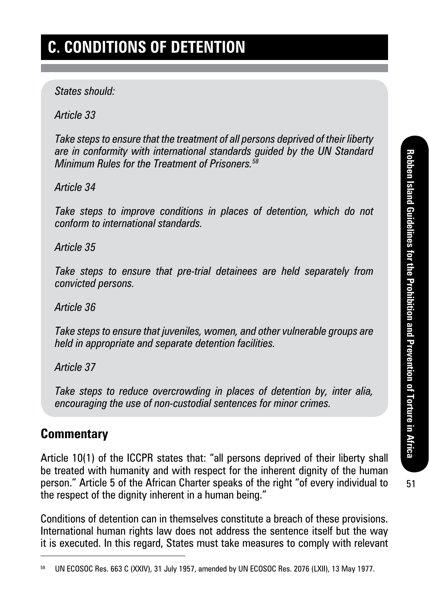*States should:* 

*Article 33*

*Take steps to ensure that the treatment of all persons deprived of their liberty are in conformity with international standards guided by the UN Standard Minimum Rules for the Treatment of Prisoners.<sup>58</sup>*

*Article 34*

*Take steps to improve conditions in places of detention, which do not conform to international standards.*

*Article 35*

*Take steps to ensure that pre-trial detainees are held separately from convicted persons.*

*Article 36*

*Take steps to ensure that juveniles, women, and other vulnerable groups are held in appropriate and separate detention facilities.*

*Article 37*

*Take steps to reduce overcrowding in places of detention by, inter alia, encouraging the use of non-custodial sentences for minor crimes.*

#### **Commentary**

Article 10(1) of the ICCPR states that: "all persons deprived of their liberty shall be treated with humanity and with respect for the inherent dignity of the human person." Article 5 of the African Charter speaks of the right "of every individual to the respect of the dignity inherent in a human being."

Conditions of detention can in themselves constitute a breach of these provisions. International human rights law does not address the sentence itself but the way it is executed. In this regard, States must take measures to comply with relevant

UN ECOSOC Res. 663 C (XXIV), 31 July 1957, amended by UN ECOSOC Res. 2076 (LXII), 13 May 1977.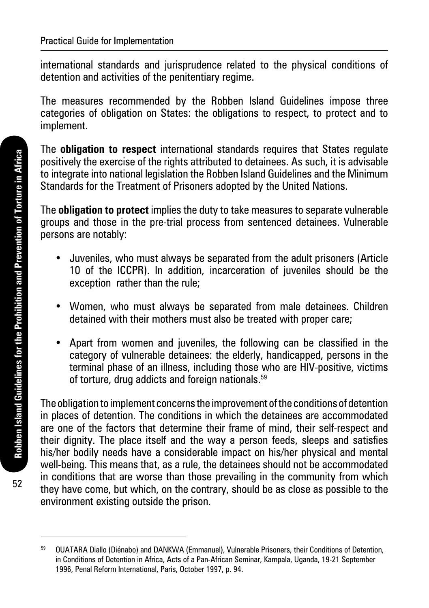international standards and jurisprudence related to the physical conditions of detention and activities of the penitentiary regime.

The measures recommended by the Robben Island Guidelines impose three categories of obligation on States: the obligations to respect, to protect and to implement.

The **obligation to respect** international standards requires that States regulate positively the exercise of the rights attributed to detainees. As such, it is advisable to integrate into national legislation the Robben Island Guidelines and the Minimum Standards for the Treatment of Prisoners adopted by the United Nations.

The **obligation to protect** implies the duty to take measures to separate vulnerable groups and those in the pre-trial process from sentenced detainees. Vulnerable persons are notably:

- Juveniles, who must always be separated from the adult prisoners (Article 10 of the ICCPR). In addition, incarceration of juveniles should be the exception rather than the rule;
- Women, who must always be separated from male detainees. Children detained with their mothers must also be treated with proper care;
- Apart from women and juveniles, the following can be classified in the category of vulnerable detainees: the elderly, handicapped, persons in the terminal phase of an illness, including those who are HIV-positive, victims of torture, drug addicts and foreign nationals.<sup>59</sup>

The obligation to implement concerns the improvement of the conditions of detention in places of detention. The conditions in which the detainees are accommodated are one of the factors that determine their frame of mind, their self-respect and their dignity. The place itself and the way a person feeds, sleeps and satisfies his/her bodily needs have a considerable impact on his/her physical and mental well-being. This means that, as a rule, the detainees should not be accommodated in conditions that are worse than those prevailing in the community from which they have come, but which, on the contrary, should be as close as possible to the environment existing outside the prison.

<sup>59</sup> OUATARA Diallo (Diénabo) and DANKWA (Emmanuel), Vulnerable Prisoners, their Conditions of Detention, in Conditions of Detention in Africa, Acts of a Pan-African Seminar, Kampala, Uganda, 19-21 September 1996, Penal Reform International, Paris, October 1997, p. 94.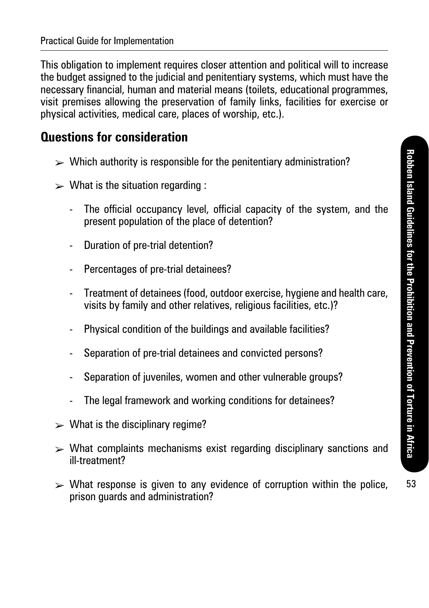This obligation to implement requires closer attention and political will to increase the budget assigned to the judicial and penitentiary systems, which must have the necessary financial, human and material means (toilets, educational programmes, visit premises allowing the preservation of family links, facilities for exercise or physical activities, medical care, places of worship, etc.).

#### **Questions for consideration**

- $\triangleright$  Which authority is responsible for the penitentiary administration?
- $\triangleright$  What is the situation regarding :
	- The official occupancy level, official capacity of the system, and the present population of the place of detention?
	- Duration of pre-trial detention?
	- Percentages of pre-trial detainees?
	- Treatment of detainees (food, outdoor exercise, hygiene and health care, visits by family and other relatives, religious facilities, etc.)?
	- Physical condition of the buildings and available facilities?
	- Separation of pre-trial detainees and convicted persons?
	- Separation of juveniles, women and other vulnerable groups?
	- The legal framework and working conditions for detainees?
- $\triangleright$  What is the disciplinary regime?
- $\triangleright$  What complaints mechanisms exist regarding disciplinary sanctions and ill-treatment?
- $\triangleright$  What response is given to any evidence of corruption within the police, prison guards and administration?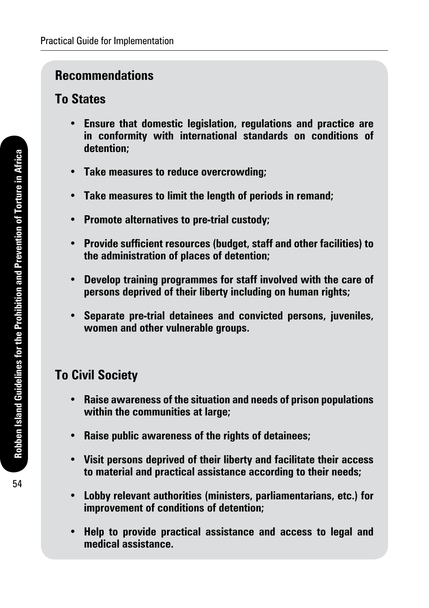### **To States**

- **• Ensure that domestic legislation, regulations and practice are in conformity with international standards on conditions of detention;**
- **• Take measures to reduce overcrowding;**
- **• Take measures to limit the length of periods in remand;**
- **• Promote alternatives to pre-trial custody;**
- **• Provide sufficient resources (budget, staff and other facilities) to the administration of places of detention;**
- **• Develop training programmes for staff involved with the care of persons deprived of their liberty including on human rights;**
- **• Separate pre-trial detainees and convicted persons, juveniles, women and other vulnerable groups.**

### **To Civil Society**

- **• Raise awareness of the situation and needs of prison populations within the communities at large;**
- **• Raise public awareness of the rights of detainees;**
- **• Visit persons deprived of their liberty and facilitate their access to material and practical assistance according to their needs;**
- **• Lobby relevant authorities (ministers, parliamentarians, etc.) for improvement of conditions of detention;**
- **• Help to provide practical assistance and access to legal and medical assistance.**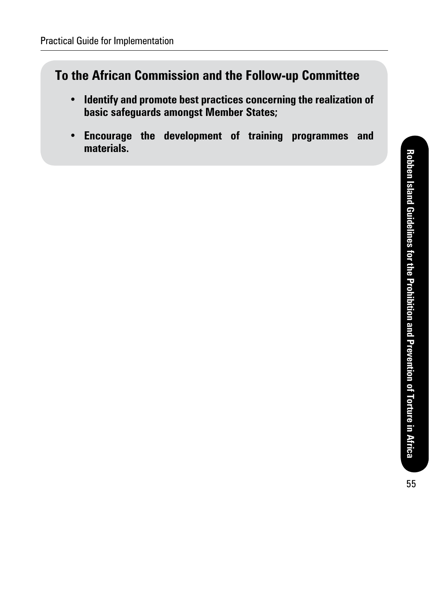### **To the African Commission and the Follow-up Committee**

- **• Identify and promote best practices concerning the realization of basic safeguards amongst Member States;**
- **• Encourage the development of training programmes and materials.**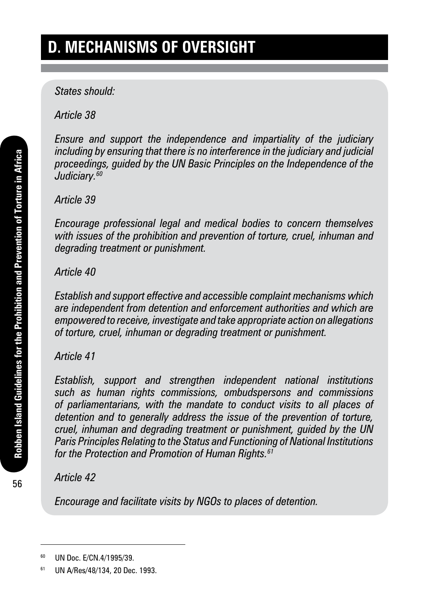*States should:* 

*Article 38*

*Ensure and support the independence and impartiality of the judiciary including by ensuring that there is no interference in the judiciary and judicial proceedings, guided by the UN Basic Principles on the Independence of the Judiciary.<sup>60</sup>*

*Article 39*

*Encourage professional legal and medical bodies to concern themselves with issues of the prohibition and prevention of torture, cruel, inhuman and degrading treatment or punishment.*

#### *Article 40*

*Establish and support effective and accessible complaint mechanisms which are independent from detention and enforcement authorities and which are empowered to receive, investigate and take appropriate action on allegations of torture, cruel, inhuman or degrading treatment or punishment.*

#### *Article 41*

*Establish, support and strengthen independent national institutions such as human rights commissions, ombudspersons and commissions of parliamentarians, with the mandate to conduct visits to all places of detention and to generally address the issue of the prevention of torture, cruel, inhuman and degrading treatment or punishment, guided by the UN Paris Principles Relating to the Status and Functioning of National Institutions for the Protection and Promotion of Human Rights.<sup>61</sup>*

*Article 42*

*Encourage and facilitate visits by NGOs to places of detention.*

<sup>60</sup> UN Doc. E/CN.4/1995/39.

<sup>61</sup> UN A/Res/48/134, 20 Dec. 1993.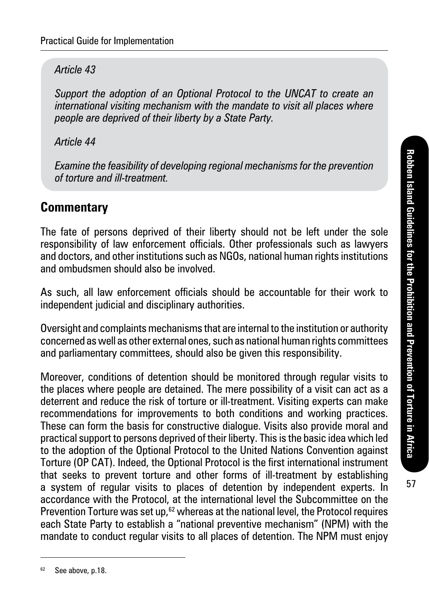*Article 43*

*Support the adoption of an Optional Protocol to the UNCAT to create an international visiting mechanism with the mandate to visit all places where people are deprived of their liberty by a State Party.*

*Article 44*

*Examine the feasibility of developing regional mechanisms for the prevention of torture and ill-treatment.*

#### **Commentary**

The fate of persons deprived of their liberty should not be left under the sole responsibility of law enforcement officials. Other professionals such as lawyers and doctors, and other institutions such as NGOs, national human rights institutions and ombudsmen should also be involved.

As such, all law enforcement officials should be accountable for their work to independent judicial and disciplinary authorities.

Oversight and complaints mechanisms that are internal to the institution or authority concerned as well as other external ones, such as national human rights committees and parliamentary committees, should also be given this responsibility.

Moreover, conditions of detention should be monitored through regular visits to the places where people are detained. The mere possibility of a visit can act as a deterrent and reduce the risk of torture or ill-treatment. Visiting experts can make recommendations for improvements to both conditions and working practices. These can form the basis for constructive dialogue. Visits also provide moral and practical support to persons deprived of their liberty. This is the basic idea which led to the adoption of the Optional Protocol to the United Nations Convention against Torture (OP CAT). Indeed, the Optional Protocol is the first international instrument that seeks to prevent torture and other forms of ill-treatment by establishing a system of regular visits to places of detention by independent experts. In accordance with the Protocol, at the international level the Subcommittee on the Prevention Torture was set up, $62$  whereas at the national level, the Protocol requires each State Party to establish a "national preventive mechanism" (NPM) with the mandate to conduct regular visits to all places of detention. The NPM must enjoy

<sup>&</sup>lt;sup>62</sup> See above, p.18.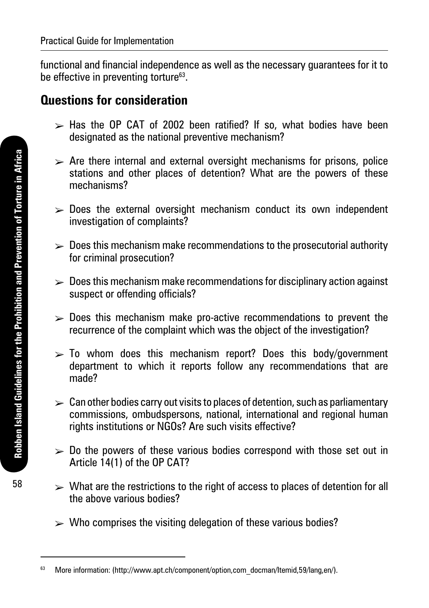functional and financial independence as well as the necessary guarantees for it to be effective in preventing torture<sup>63</sup>.

#### **Questions for consideration**

- $\ge$  Has the OP CAT of 2002 been ratified? If so, what bodies have been designated as the national preventive mechanism?
- $\triangleright$  Are there internal and external oversight mechanisms for prisons, police stations and other places of detention? What are the powers of these mechanisms?
- $\triangleright$  Does the external oversight mechanism conduct its own independent investigation of complaints?
- $\triangleright$  Does this mechanism make recommendations to the prosecutorial authority for criminal prosecution?
- $\geq 0$  Does this mechanism make recommendations for disciplinary action against suspect or offending officials?
- $\geq$  Does this mechanism make pro-active recommendations to prevent the recurrence of the complaint which was the object of the investigation?
- $\geq$  To whom does this mechanism report? Does this body/government department to which it reports follow any recommendations that are made?
- $\triangleright$  Can other bodies carry out visits to places of detention, such as parliamentary commissions, ombudspersons, national, international and regional human rights institutions or NGOs? Are such visits effective?
- $\geq 0$  the powers of these various bodies correspond with those set out in Article 14(1) of the OP CAT?
- $\triangleright$  What are the restrictions to the right of access to places of detention for all the above various bodies?
- $\triangleright$  Who comprises the visiting delegation of these various bodies?

<sup>63</sup> More information: (http://www.apt.ch/component/option,com\_docman/Itemid,59/lang,en/).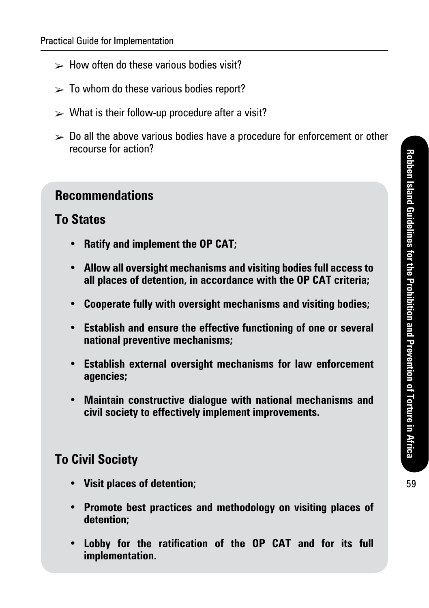- $\triangleright$  How often do these various bodies visit?
- $\geq$  To whom do these various bodies report?
- $\triangleright$  What is their follow-up procedure after a visit?
- $\geq 0$  all the above various bodies have a procedure for enforcement or other recourse for action?

#### **To States**

- **• Ratify and implement the OP CAT;**
- **• Allow all oversight mechanisms and visiting bodies full access to all places of detention, in accordance with the OP CAT criteria;**
- **• Cooperate fully with oversight mechanisms and visiting bodies;**
- **• Establish and ensure the effective functioning of one or several national preventive mechanisms;**
- **• Establish external oversight mechanisms for law enforcement agencies;**
- **• Maintain constructive dialogue with national mechanisms and civil society to effectively implement improvements.**

#### **To Civil Society**

- **• Visit places of detention;**
- **• Promote best practices and methodology on visiting places of detention;**
- **• Lobby for the ratification of the OP CAT and for its full implementation.**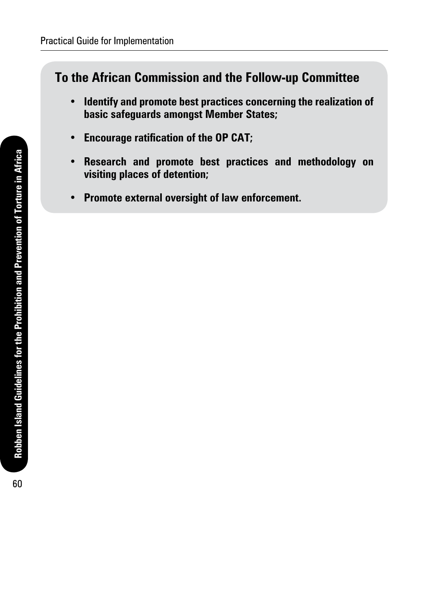#### **To the African Commission and the Follow-up Committee**

- **• Identify and promote best practices concerning the realization of basic safeguards amongst Member States;**
- **• Encourage ratification of the OP CAT;**
- **• Research and promote best practices and methodology on visiting places of detention;**
- **• Promote external oversight of law enforcement.**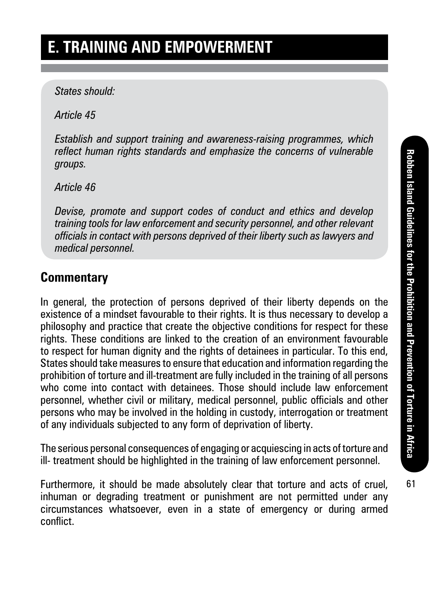#### *States should:*

*Article 45*

*Establish and support training and awareness-raising programmes, which reflect human rights standards and emphasize the concerns of vulnerable groups.*

*Article 46*

*Devise, promote and support codes of conduct and ethics and develop training tools for law enforcement and security personnel, and other relevant officials in contact with persons deprived of their liberty such as lawyers and medical personnel.*

### **Commentary**

In general, the protection of persons deprived of their liberty depends on the existence of a mindset favourable to their rights. It is thus necessary to develop a philosophy and practice that create the objective conditions for respect for these rights. These conditions are linked to the creation of an environment favourable to respect for human dignity and the rights of detainees in particular. To this end, States should take measures to ensure that education and information regarding the prohibition of torture and ill-treatment are fully included in the training of all persons who come into contact with detainees. Those should include law enforcement personnel, whether civil or military, medical personnel, public officials and other persons who may be involved in the holding in custody, interrogation or treatment of any individuals subjected to any form of deprivation of liberty.

The serious personal consequences of engaging or acquiescing in acts of torture and ill- treatment should be highlighted in the training of law enforcement personnel.

Furthermore, it should be made absolutely clear that torture and acts of cruel, inhuman or degrading treatment or punishment are not permitted under any circumstances whatsoever, even in a state of emergency or during armed conflict.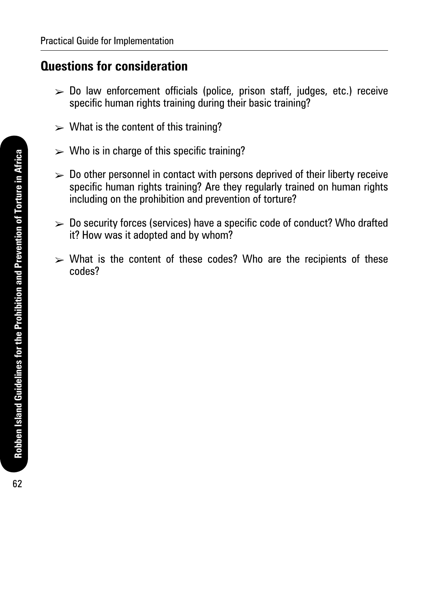#### **Questions for consideration**

- $\triangleright$  Do law enforcement officials (police, prison staff, judges, etc.) receive specific human rights training during their basic training?
- $\triangleright$  What is the content of this training?
- $\triangleright$  Who is in charge of this specific training?
- $\geq 0$  other personnel in contact with persons deprived of their liberty receive specific human rights training? Are they regularly trained on human rights including on the prohibition and prevention of torture?
- $\geq 0$  Security forces (services) have a specific code of conduct? Who drafted it? How was it adopted and by whom?
- $\triangleright$  What is the content of these codes? Who are the recipients of these codes?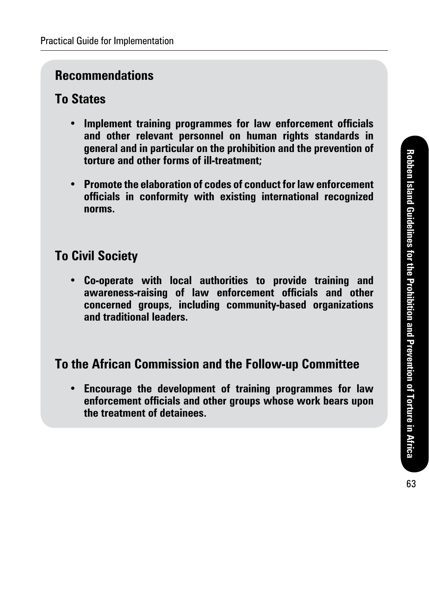### **To States**

- **• Implement training programmes for law enforcement officials and other relevant personnel on human rights standards in general and in particular on the prohibition and the prevention of torture and other forms of ill-treatment;**
- **• Promote the elaboration of codes of conduct for law enforcement officials in conformity with existing international recognized norms.**

### **To Civil Society**

**• Co-operate with local authorities to provide training and awareness-raising of law enforcement officials and other concerned groups, including community-based organizations and traditional leaders.**

### **To the African Commission and the Follow-up Committee**

**• Encourage the development of training programmes for law enforcement officials and other groups whose work bears upon the treatment of detainees.**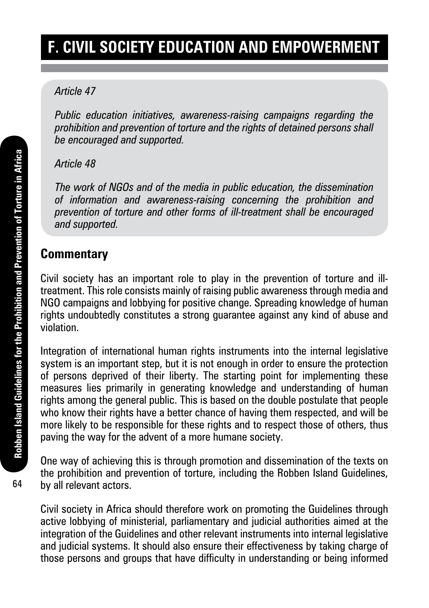# **F. Civil society education and empowerment**

#### *Article 47*

*Public education initiatives, awareness-raising campaigns regarding the prohibition and prevention of torture and the rights of detained persons shall be encouraged and supported.*

#### *Article 48*

*The work of NGOs and of the media in public education, the dissemination of information and awareness-raising concerning the prohibition and prevention of torture and other forms of ill-treatment shall be encouraged and supported.*

#### **Commentary**

Civil society has an important role to play in the prevention of torture and illtreatment. This role consists mainly of raising public awareness through media and NGO campaigns and lobbying for positive change. Spreading knowledge of human rights undoubtedly constitutes a strong guarantee against any kind of abuse and violation.

Integration of international human rights instruments into the internal legislative system is an important step, but it is not enough in order to ensure the protection of persons deprived of their liberty. The starting point for implementing these measures lies primarily in generating knowledge and understanding of human rights among the general public. This is based on the double postulate that people who know their rights have a better chance of having them respected, and will be more likely to be responsible for these rights and to respect those of others, thus paving the way for the advent of a more humane society.

One way of achieving this is through promotion and dissemination of the texts on the prohibition and prevention of torture, including the Robben Island Guidelines, by all relevant actors.

Civil society in Africa should therefore work on promoting the Guidelines through active lobbying of ministerial, parliamentary and judicial authorities aimed at the integration of the Guidelines and other relevant instruments into internal legislative and judicial systems. It should also ensure their effectiveness by taking charge of those persons and groups that have difficulty in understanding or being informed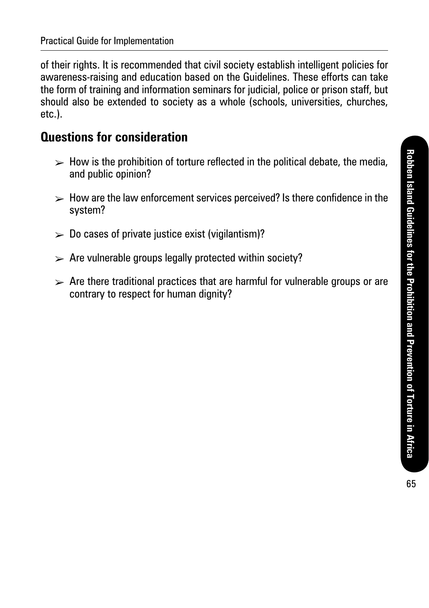of their rights. It is recommended that civil society establish intelligent policies for awareness-raising and education based on the Guidelines. These efforts can take the form of training and information seminars for judicial, police or prison staff, but should also be extended to society as a whole (schools, universities, churches, etc.).

#### **Questions for consideration**

- $\triangleright$  How is the prohibition of torture reflected in the political debate, the media, and public opinion?
- $\triangleright$  How are the law enforcement services perceived? Is there confidence in the system?
- $\geq 0$  cases of private justice exist (vigilantism)?
- $\triangleright$  Are vulnerable groups legally protected within society?
- $\triangleright$  Are there traditional practices that are harmful for vulnerable groups or are contrary to respect for human dignity?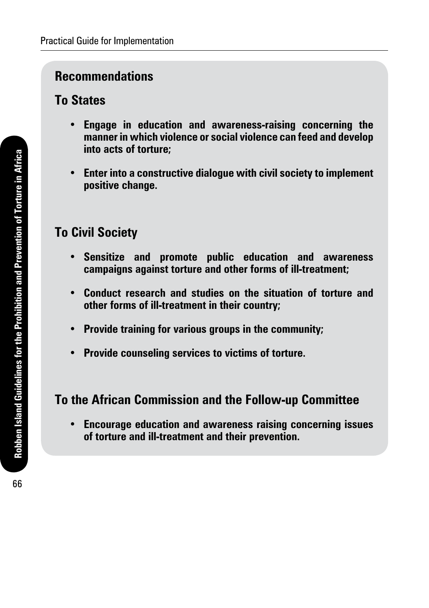#### **To States**

- **• Engage in education and awareness-raising concerning the manner in which violence or social violence can feed and develop into acts of torture;**
- **• Enter into a constructive dialogue with civil society to implement positive change.**

### **To Civil Society**

- **• Sensitize and promote public education and awareness campaigns against torture and other forms of ill-treatment;**
- **• Conduct research and studies on the situation of torture and other forms of ill-treatment in their country;**
- **• Provide training for various groups in the community;**
- **• Provide counseling services to victims of torture.**

### **To the African Commission and the Follow-up Committee**

**• Encourage education and awareness raising concerning issues of torture and ill-treatment and their prevention.**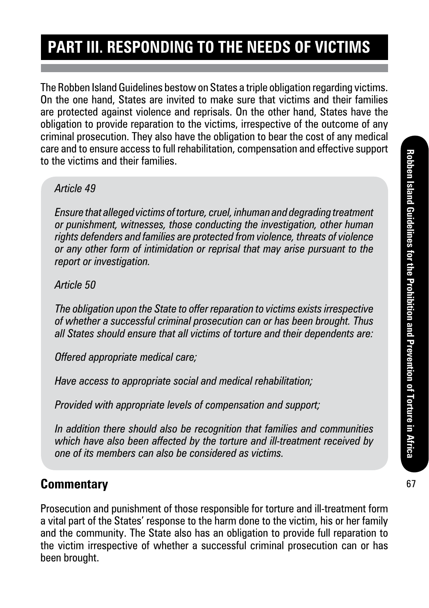# **Part III. Responding to the needs of victims**

The Robben Island Guidelines bestow on States a triple obligation regarding victims. On the one hand, States are invited to make sure that victims and their families are protected against violence and reprisals. On the other hand, States have the obligation to provide reparation to the victims, irrespective of the outcome of any criminal prosecution. They also have the obligation to bear the cost of any medical care and to ensure access to full rehabilitation, compensation and effective support to the victims and their families.

#### *Article 49*

*Ensure that alleged victims of torture, cruel, inhuman and degrading treatment or punishment, witnesses, those conducting the investigation, other human rights defenders and families are protected from violence, threats of violence or any other form of intimidation or reprisal that may arise pursuant to the report or investigation.*

*Article 50*

*The obligation upon the State to offer reparation to victims exists irrespective of whether a successful criminal prosecution can or has been brought. Thus all States should ensure that all victims of torture and their dependents are:*

*Offered appropriate medical care;*

*Have access to appropriate social and medical rehabilitation;*

*Provided with appropriate levels of compensation and support;*

*In addition there should also be recognition that families and communities which have also been affected by the torture and ill-treatment received by one of its members can also be considered as victims.*

### **Commentary**

Prosecution and punishment of those responsible for torture and ill-treatment form a vital part of the States' response to the harm done to the victim, his or her family and the community. The State also has an obligation to provide full reparation to the victim irrespective of whether a successful criminal prosecution can or has been brought.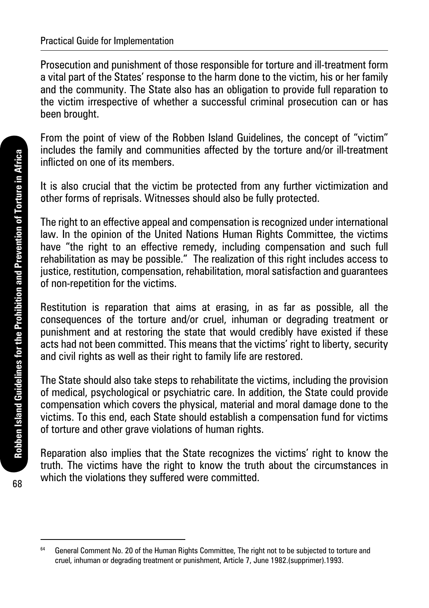Prosecution and punishment of those responsible for torture and ill-treatment form a vital part of the States' response to the harm done to the victim, his or her family and the community. The State also has an obligation to provide full reparation to the victim irrespective of whether a successful criminal prosecution can or has been brought.

From the point of view of the Robben Island Guidelines, the concept of "victim" includes the family and communities affected by the torture and/or ill-treatment inflicted on one of its members.

It is also crucial that the victim be protected from any further victimization and other forms of reprisals. Witnesses should also be fully protected.

The right to an effective appeal and compensation is recognized under international law. In the opinion of the United Nations Human Rights Committee, the victims have "the right to an effective remedy, including compensation and such full rehabilitation as may be possible." The realization of this right includes access to justice, restitution, compensation, rehabilitation, moral satisfaction and guarantees of non-repetition for the victims.

Restitution is reparation that aims at erasing, in as far as possible, all the consequences of the torture and/or cruel, inhuman or degrading treatment or punishment and at restoring the state that would credibly have existed if these acts had not been committed. This means that the victims' right to liberty, security and civil rights as well as their right to family life are restored.

The State should also take steps to rehabilitate the victims, including the provision of medical, psychological or psychiatric care. In addition, the State could provide compensation which covers the physical, material and moral damage done to the victims. To this end, each State should establish a compensation fund for victims of torture and other grave violations of human rights.

Reparation also implies that the State recognizes the victims' right to know the truth. The victims have the right to know the truth about the circumstances in which the violations they suffered were committed.

Robben Island Guidelines for the Prohibition and Prevention of Torture in Africa **Robben Island Guidelines for the Prohibition and Prevention of Torture in Africa**

<sup>&</sup>lt;sup>64</sup> General Comment No. 20 of the Human Rights Committee. The right not to be subjected to torture and cruel, inhuman or degrading treatment or punishment, Article 7, June 1982.(supprimer).1993.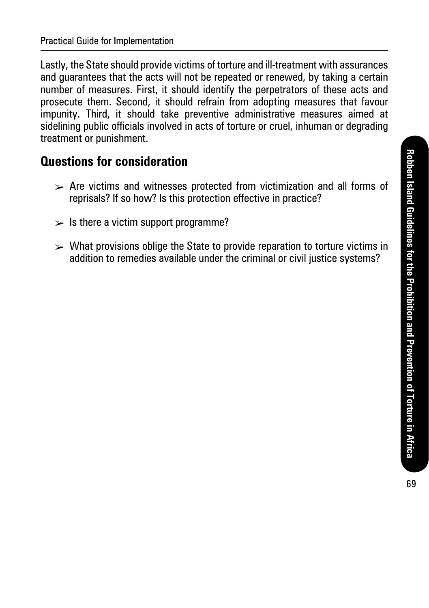Lastly, the State should provide victims of torture and ill-treatment with assurances and guarantees that the acts will not be repeated or renewed, by taking a certain number of measures. First, it should identify the perpetrators of these acts and prosecute them. Second, it should refrain from adopting measures that favour impunity. Third, it should take preventive administrative measures aimed at sidelining public officials involved in acts of torture or cruel, inhuman or degrading treatment or punishment.

### **Questions for consideration**

- $\triangleright$  Are victims and witnesses protected from victimization and all forms of reprisals? If so how? Is this protection effective in practice?
- $\geq$  Is there a victim support programme?
- $\triangleright$  What provisions oblige the State to provide reparation to torture victims in addition to remedies available under the criminal or civil iustice systems?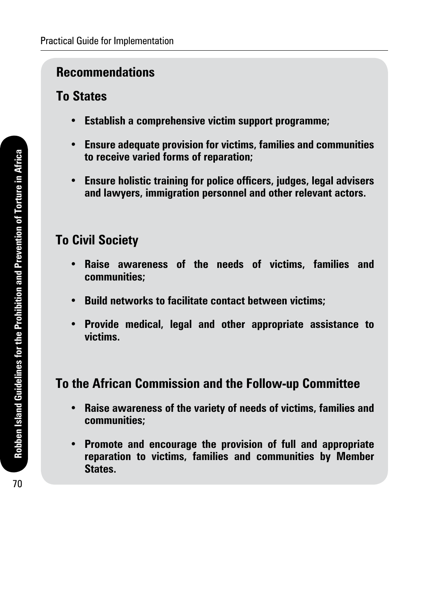### **Recommendations**

## **To States**

- **• Establish a comprehensive victim support programme;**
- **• Ensure adequate provision for victims, families and communities to receive varied forms of reparation;**
- **• Ensure holistic training for police officers, judges, legal advisers and lawyers, immigration personnel and other relevant actors.**

## **To Civil Society**

- **• Raise awareness of the needs of victims, families and communities;**
- **• Build networks to facilitate contact between victims;**
- **• Provide medical, legal and other appropriate assistance to victims.**

## **To the African Commission and the Follow-up Committee**

- **• Raise awareness of the variety of needs of victims, families and communities;**
- **• Promote and encourage the provision of full and appropriate reparation to victims, families and communities by Member States.**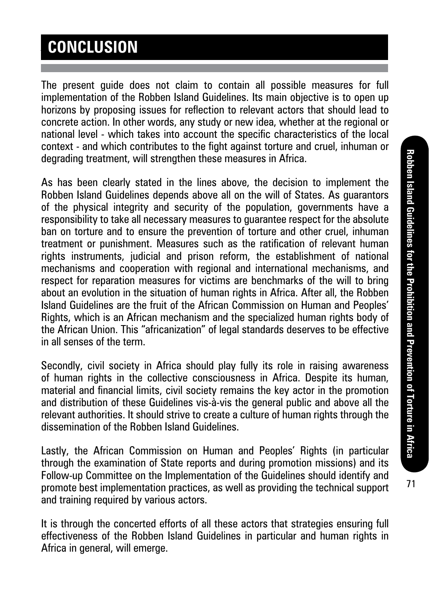# **CONCLUSION**

The present guide does not claim to contain all possible measures for full implementation of the Robben Island Guidelines. Its main objective is to open up horizons by proposing issues for reflection to relevant actors that should lead to concrete action. In other words, any study or new idea, whether at the regional or national level - which takes into account the specific characteristics of the local context - and which contributes to the fight against torture and cruel, inhuman or degrading treatment, will strengthen these measures in Africa.

As has been clearly stated in the lines above, the decision to implement the Robben Island Guidelines depends above all on the will of States. As guarantors of the physical integrity and security of the population, governments have a responsibility to take all necessary measures to guarantee respect for the absolute ban on torture and to ensure the prevention of torture and other cruel, inhuman treatment or punishment. Measures such as the ratification of relevant human rights instruments, judicial and prison reform, the establishment of national mechanisms and cooperation with regional and international mechanisms, and respect for reparation measures for victims are benchmarks of the will to bring about an evolution in the situation of human rights in Africa. After all, the Robben Island Guidelines are the fruit of the African Commission on Human and Peoples' Rights, which is an African mechanism and the specialized human rights body of the African Union. This "africanization" of legal standards deserves to be effective in all senses of the term.

Secondly, civil society in Africa should play fully its role in raising awareness of human rights in the collective consciousness in Africa. Despite its human, material and financial limits, civil society remains the key actor in the promotion and distribution of these Guidelines vis-à-vis the general public and above all the relevant authorities. It should strive to create a culture of human rights through the dissemination of the Robben Island Guidelines.

Lastly, the African Commission on Human and Peoples' Rights (in particular through the examination of State reports and during promotion missions) and its Follow-up Committee on the Implementation of the Guidelines should identify and promote best implementation practices, as well as providing the technical support and training required by various actors.

It is through the concerted efforts of all these actors that strategies ensuring full effectiveness of the Robben Island Guidelines in particular and human rights in Africa in general, will emerge.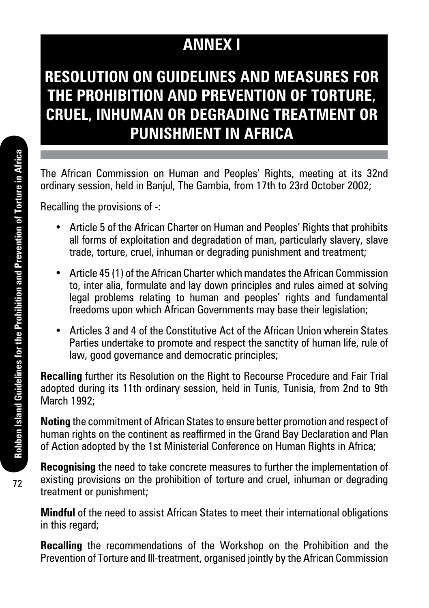# **ANNEX I**

# **RESOLUTION ON GUIDELINES AND MEASURES FOR THE PROHIBITION AND PREVENTION OF TORTURE, CRUEL, INHUMAN OR DEGRADING TREATMENT OR PUNISHMENT IN AFRICA**

The African Commission on Human and Peoples' Rights, meeting at its 32nd ordinary session, held in Banjul, The Gambia, from 17th to 23rd October 2002;

Recalling the provisions of -:

- Article 5 of the African Charter on Human and Peoples' Rights that prohibits all forms of exploitation and degradation of man, particularly slavery, slave trade, torture, cruel, inhuman or degrading punishment and treatment;
- Article 45 (1) of the African Charter which mandates the African Commission to, inter alia, formulate and lay down principles and rules aimed at solving legal problems relating to human and peoples' rights and fundamental freedoms upon which African Governments may base their legislation;
- Articles 3 and 4 of the Constitutive Act of the African Union wherein States Parties undertake to promote and respect the sanctity of human life, rule of law, good governance and democratic principles;

**Recalling** further its Resolution on the Right to Recourse Procedure and Fair Trial adopted during its 11th ordinary session, held in Tunis, Tunisia, from 2nd to 9th March 1992;

**Noting** the commitment of African States to ensure better promotion and respect of human rights on the continent as reaffirmed in the Grand Bay Declaration and Plan of Action adopted by the 1st Ministerial Conference on Human Rights in Africa;

**Recognising** the need to take concrete measures to further the implementation of existing provisions on the prohibition of torture and cruel, inhuman or degrading treatment or punishment;

**Mindful** of the need to assist African States to meet their international obligations in this regard;

**Recalling** the recommendations of the Workshop on the Prohibition and the Prevention of Torture and Ill-treatment, organised jointly by the African Commission

72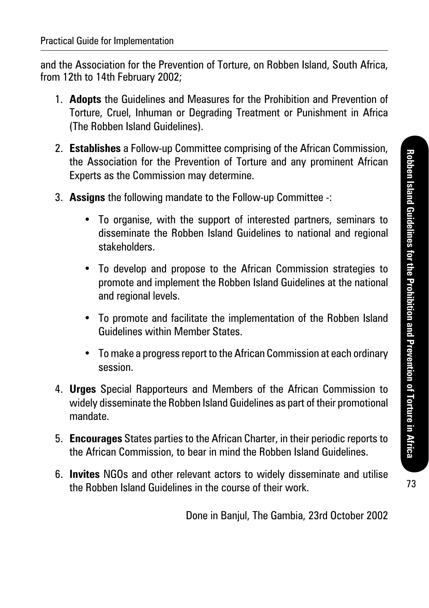and the Association for the Prevention of Torture, on Robben Island, South Africa, from 12th to 14th February 2002;

- 1. **Adopts** the Guidelines and Measures for the Prohibition and Prevention of Torture, Cruel, Inhuman or Degrading Treatment or Punishment in Africa (The Robben Island Guidelines).
- 2. **Establishes** a Follow-up Committee comprising of the African Commission, the Association for the Prevention of Torture and any prominent African Experts as the Commission may determine.
- 3. **Assigns** the following mandate to the Follow-up Committee -:
	- To organise, with the support of interested partners, seminars to disseminate the Robben Island Guidelines to national and regional stakeholders.
	- To develop and propose to the African Commission strategies to promote and implement the Robben Island Guidelines at the national and regional levels.
	- To promote and facilitate the implementation of the Robben Island Guidelines within Member States.
	- To make a progress report to the African Commission at each ordinary session.
- 4. **Urges** Special Rapporteurs and Members of the African Commission to widely disseminate the Robben Island Guidelines as part of their promotional mandate.
- 5. **Encourages** States parties to the African Charter, in their periodic reports to the African Commission, to bear in mind the Robben Island Guidelines.
- 6. **Invites** NGOs and other relevant actors to widely disseminate and utilise the Robben Island Guidelines in the course of their work.

Done in Banjul, The Gambia, 23rd October 2002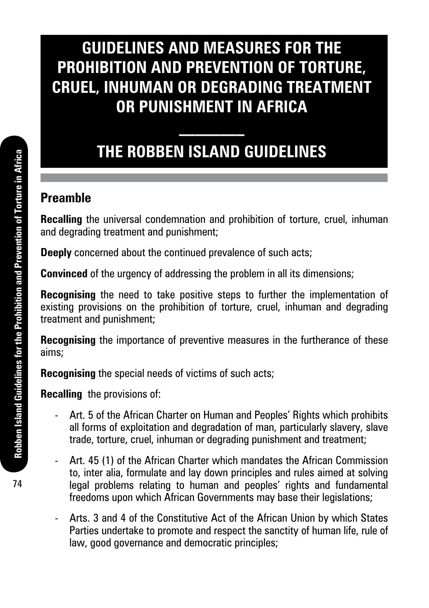# **GUIDELINES AND MEASURES FOR THE PROHIBITION AND PREVENTION OF TORTURE, CRUEL, INHUMAN OR DEGRADING TREATMENT OR PUNISHMENT IN AFRICA**

# **THE ROBBEN ISLAND GUIDELINES**

**\_\_\_\_\_\_\_\_**

## **Preamble**

**Recalling** the universal condemnation and prohibition of torture, cruel, inhuman and degrading treatment and punishment;

**Deeply** concerned about the continued prevalence of such acts;

**Convinced** of the urgency of addressing the problem in all its dimensions;

**Recognising** the need to take positive steps to further the implementation of existing provisions on the prohibition of torture, cruel, inhuman and degrading treatment and punishment;

**Recognising** the importance of preventive measures in the furtherance of these aims;

**Recognising** the special needs of victims of such acts;

**Recalling** the provisions of:

- Art. 5 of the African Charter on Human and Peoples' Rights which prohibits all forms of exploitation and degradation of man, particularly slavery, slave trade, torture, cruel, inhuman or degrading punishment and treatment;
- Art. 45 (1) of the African Charter which mandates the African Commission to, inter alia, formulate and lay down principles and rules aimed at solving legal problems relating to human and peoples' rights and fundamental freedoms upon which African Governments may base their legislations;
- Arts. 3 and 4 of the Constitutive Act of the African Union by which States Parties undertake to promote and respect the sanctity of human life, rule of law, good governance and democratic principles;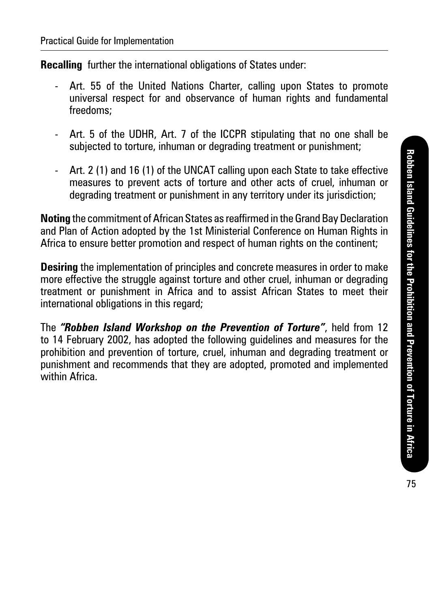**Recalling** further the international obligations of States under:

- Art. 55 of the United Nations Charter, calling upon States to promote universal respect for and observance of human rights and fundamental freedoms;
- Art. 5 of the UDHR, Art. 7 of the ICCPR stipulating that no one shall be subjected to torture, inhuman or degrading treatment or punishment;
- Art. 2 (1) and 16 (1) of the UNCAT calling upon each State to take effective measures to prevent acts of torture and other acts of cruel, inhuman or degrading treatment or punishment in any territory under its jurisdiction;

**Noting** the commitment of African States as reaffirmed in the Grand Bay Declaration and Plan of Action adopted by the 1st Ministerial Conference on Human Rights in Africa to ensure better promotion and respect of human rights on the continent;

**Desiring** the implementation of principles and concrete measures in order to make more effective the struggle against torture and other cruel, inhuman or degrading treatment or punishment in Africa and to assist African States to meet their international obligations in this regard;

The *"Robben Island Workshop on the Prevention of Torture"*, held from 12 to 14 February 2002, has adopted the following guidelines and measures for the prohibition and prevention of torture, cruel, inhuman and degrading treatment or punishment and recommends that they are adopted, promoted and implemented within Africa.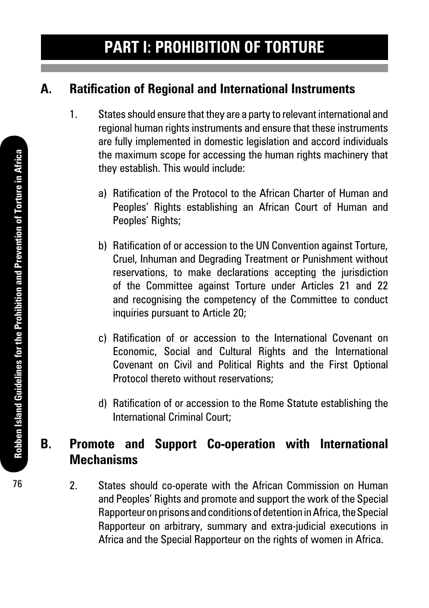## **A. Ratification of Regional and International Instruments**

- 1. States should ensure that they are a party to relevant international and regional human rights instruments and ensure that these instruments are fully implemented in domestic legislation and accord individuals the maximum scope for accessing the human rights machinery that they establish. This would include:
	- a) Ratification of the Protocol to the African Charter of Human and Peoples' Rights establishing an African Court of Human and Peoples' Rights;
	- b) Ratification of or accession to the UN Convention against Torture, Cruel, Inhuman and Degrading Treatment or Punishment without reservations, to make declarations accepting the jurisdiction of the Committee against Torture under Articles 21 and 22 and recognising the competency of the Committee to conduct inquiries pursuant to Article 20;
	- c) Ratification of or accession to the International Covenant on Economic, Social and Cultural Rights and the International Covenant on Civil and Political Rights and the First Optional Protocol thereto without reservations;
	- d) Ratification of or accession to the Rome Statute establishing the International Criminal Court;

## **B. Promote and Support Co-operation with International Mechanisms**

2. States should co-operate with the African Commission on Human and Peoples' Rights and promote and support the work of the Special Rapporteur on prisons and conditions of detention in Africa, the Special Rapporteur on arbitrary, summary and extra-judicial executions in Africa and the Special Rapporteur on the rights of women in Africa.

76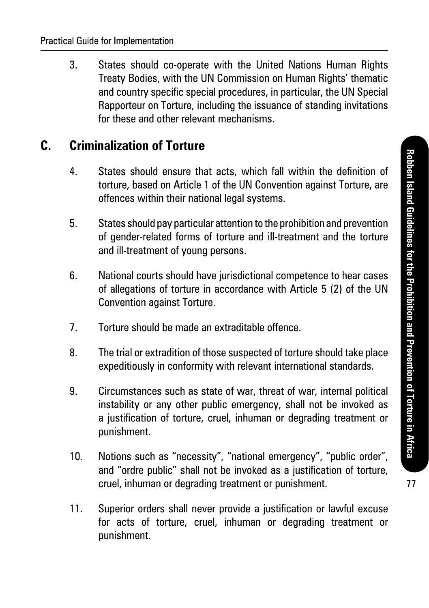3. States should co-operate with the United Nations Human Rights Treaty Bodies, with the UN Commission on Human Rights' thematic and country specific special procedures, in particular, the UN Special Rapporteur on Torture, including the issuance of standing invitations for these and other relevant mechanisms.

### **C. Criminalization of Torture**

- 4. States should ensure that acts, which fall within the definition of torture, based on Article 1 of the UN Convention against Torture, are offences within their national legal systems.
- 5. States should pay particular attention to the prohibition and prevention of gender-related forms of torture and ill-treatment and the torture and ill-treatment of young persons.
- 6. National courts should have jurisdictional competence to hear cases of allegations of torture in accordance with Article 5 (2) of the UN Convention against Torture.
- 7. Torture should be made an extraditable offence.
- 8. The trial or extradition of those suspected of torture should take place expeditiously in conformity with relevant international standards.
- 9. Circumstances such as state of war, threat of war, internal political instability or any other public emergency, shall not be invoked as a justification of torture, cruel, inhuman or degrading treatment or punishment.
- 10. Notions such as "necessity", "national emergency", "public order", and "ordre public" shall not be invoked as a justification of torture. cruel, inhuman or degrading treatment or punishment.
- 11. Superior orders shall never provide a justification or lawful excuse for acts of torture, cruel, inhuman or degrading treatment or punishment.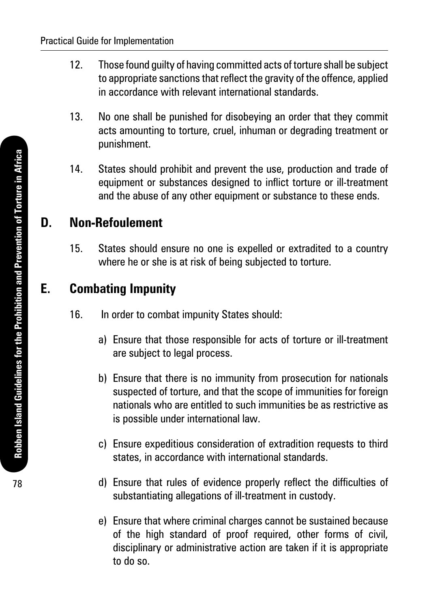- 12. Those found guilty of having committed acts of torture shall be subject to appropriate sanctions that reflect the gravity of the offence, applied in accordance with relevant international standards.
- 13. No one shall be punished for disobeying an order that they commit acts amounting to torture, cruel, inhuman or degrading treatment or punishment.
- 14. States should prohibit and prevent the use, production and trade of equipment or substances designed to inflict torture or ill-treatment and the abuse of any other equipment or substance to these ends.

## **D. Non-Refoulement**

15. States should ensure no one is expelled or extradited to a country where he or she is at risk of being subjected to torture.

## **E. Combating Impunity**

- 16. In order to combat impunity States should:
	- a) Ensure that those responsible for acts of torture or ill-treatment are subject to legal process.
	- b) Ensure that there is no immunity from prosecution for nationals suspected of torture, and that the scope of immunities for foreign nationals who are entitled to such immunities be as restrictive as is possible under international law.
	- c) Ensure expeditious consideration of extradition requests to third states, in accordance with international standards.
	- d) Ensure that rules of evidence properly reflect the difficulties of substantiating allegations of ill-treatment in custody.
	- e) Ensure that where criminal charges cannot be sustained because of the high standard of proof required, other forms of civil, disciplinary or administrative action are taken if it is appropriate to do so.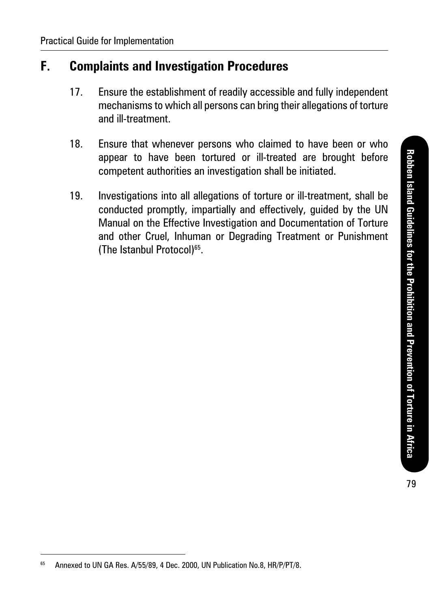## **F. Complaints and Investigation Procedures**

- 17. Ensure the establishment of readily accessible and fully independent mechanisms to which all persons can bring their allegations of torture and ill-treatment.
- 18. Ensure that whenever persons who claimed to have been or who appear to have been tortured or ill-treated are brought before competent authorities an investigation shall be initiated.
- 19. Investigations into all allegations of torture or ill-treatment, shall be conducted promptly, impartially and effectively, guided by the UN Manual on the Effective Investigation and Documentation of Torture and other Cruel, Inhuman or Degrading Treatment or Punishment (The Istanbul Protocol)65.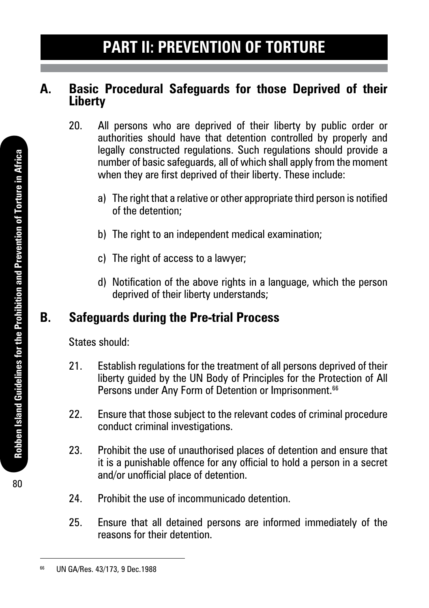### **A. Basic Procedural Safeguards for those Deprived of their Liberty**

- 20. All persons who are deprived of their liberty by public order or authorities should have that detention controlled by properly and legally constructed regulations. Such regulations should provide a number of basic safeguards, all of which shall apply from the moment when they are first deprived of their liberty. These include:
	- a) The right that a relative or other appropriate third person is notified of the detention;
	- b) The right to an independent medical examination;
	- c) The right of access to a lawyer:
	- d) Notification of the above rights in a language, which the person deprived of their liberty understands;

## **B. Safeguards during the Pre-trial Process**

States should:

- 21. Establish regulations for the treatment of all persons deprived of their liberty guided by the UN Body of Principles for the Protection of All Persons under Any Form of Detention or Imprisonment.<sup>66</sup>
- 22. Ensure that those subject to the relevant codes of criminal procedure conduct criminal investigations.
- 23. Prohibit the use of unauthorised places of detention and ensure that it is a punishable offence for any official to hold a person in a secret and/or unofficial place of detention.
- 24. Prohibit the use of incommunicado detention.
- 25. Ensure that all detained persons are informed immediately of the reasons for their detention.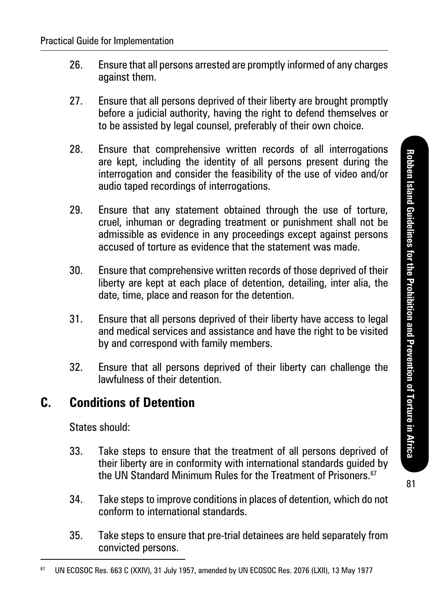- 26. Ensure that all persons arrested are promptly informed of any charges against them.
- 27. Ensure that all persons deprived of their liberty are brought promptly before a judicial authority, having the right to defend themselves or to be assisted by legal counsel, preferably of their own choice.
- 28. Ensure that comprehensive written records of all interrogations are kept, including the identity of all persons present during the interrogation and consider the feasibility of the use of video and/or audio taped recordings of interrogations.
- 29. Ensure that any statement obtained through the use of torture, cruel, inhuman or degrading treatment or punishment shall not be admissible as evidence in any proceedings except against persons accused of torture as evidence that the statement was made.
- 30. Ensure that comprehensive written records of those deprived of their liberty are kept at each place of detention, detailing, inter alia, the date, time, place and reason for the detention.
- 31. Ensure that all persons deprived of their liberty have access to legal and medical services and assistance and have the right to be visited by and correspond with family members.
- 32. Ensure that all persons deprived of their liberty can challenge the lawfulness of their detention.

### **C. Conditions of Detention**

States should:

- 33. Take steps to ensure that the treatment of all persons deprived of their liberty are in conformity with international standards guided by the UN Standard Minimum Rules for the Treatment of Prisoners.<sup>67</sup>
- 34. Take steps to improve conditions in places of detention, which do not conform to international standards.
- 35. Take steps to ensure that pre-trial detainees are held separately from convicted persons.

<sup>67</sup> UN ECOSOC Res. 663 C (XXIV), 31 July 1957, amended by UN ECOSOC Res. 2076 (LXII), 13 May 1977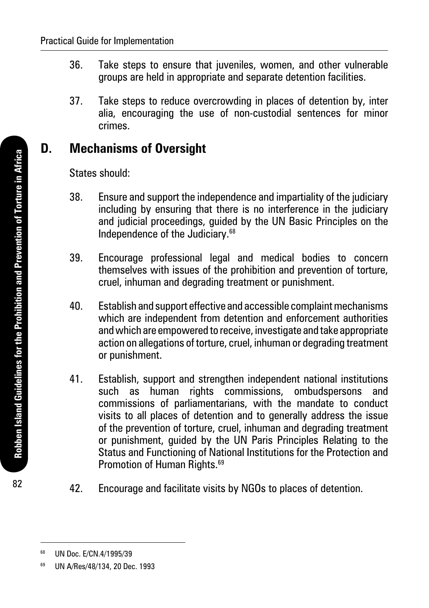- 36. Take steps to ensure that juveniles, women, and other vulnerable groups are held in appropriate and separate detention facilities.
- 37. Take steps to reduce overcrowding in places of detention by, inter alia, encouraging the use of non-custodial sentences for minor crimes.

### **D. Mechanisms of Oversight**

States should:

- 38. Ensure and support the independence and impartiality of the judiciary including by ensuring that there is no interference in the judiciary and judicial proceedings, guided by the UN Basic Principles on the Independence of the Judiciary.68
- 39. Encourage professional legal and medical bodies to concern themselves with issues of the prohibition and prevention of torture, cruel, inhuman and degrading treatment or punishment.
- 40. Establish and support effective and accessible complaint mechanisms which are independent from detention and enforcement authorities and which are empowered to receive, investigate and take appropriate action on allegations of torture, cruel, inhuman or degrading treatment or punishment.
- 41. Establish, support and strengthen independent national institutions such as human rights commissions, ombudspersons and commissions of parliamentarians, with the mandate to conduct visits to all places of detention and to generally address the issue of the prevention of torture, cruel, inhuman and degrading treatment or punishment, guided by the UN Paris Principles Relating to the Status and Functioning of National Institutions for the Protection and Promotion of Human Rights.<sup>69</sup>
- 42. Encourage and facilitate visits by NGOs to places of detention.

82

<sup>68</sup> UN Doc. E/CN.4/1995/39

<sup>69</sup> UN A/Res/48/134, 20 Dec. 1993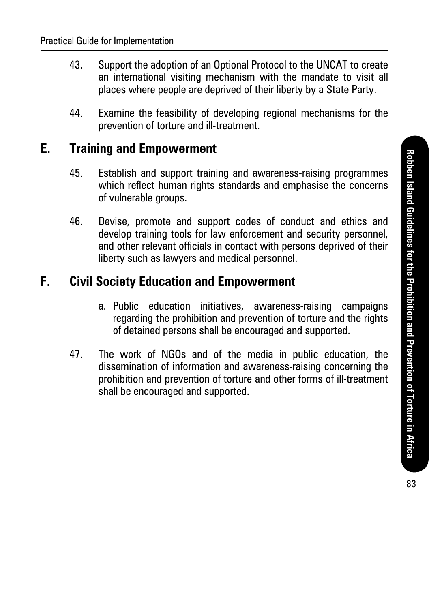- 43. Support the adoption of an Optional Protocol to the UNCAT to create an international visiting mechanism with the mandate to visit all places where people are deprived of their liberty by a State Party.
- 44. Examine the feasibility of developing regional mechanisms for the prevention of torture and ill-treatment.

#### **E. Training and Empowerment**

- 45. Establish and support training and awareness-raising programmes which reflect human rights standards and emphasise the concerns of vulnerable groups.
- 46. Devise, promote and support codes of conduct and ethics and develop training tools for law enforcement and security personnel, and other relevant officials in contact with persons deprived of their liberty such as lawyers and medical personnel.

### **F. Civil Society Education and Empowerment**

- a. Public education initiatives, awareness-raising campaigns regarding the prohibition and prevention of torture and the rights of detained persons shall be encouraged and supported.
- 47. The work of NGOs and of the media in public education, the dissemination of information and awareness-raising concerning the prohibition and prevention of torture and other forms of ill-treatment shall be encouraged and supported.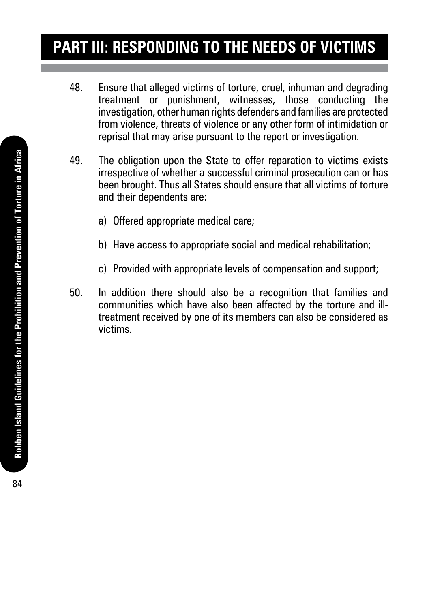# **Part III: Responding to the Needs of Victims**

- 48. Ensure that alleged victims of torture, cruel, inhuman and degrading treatment or punishment, witnesses, those conducting the investigation, other human rights defenders and families are protected from violence, threats of violence or any other form of intimidation or reprisal that may arise pursuant to the report or investigation.
- 49. The obligation upon the State to offer reparation to victims exists irrespective of whether a successful criminal prosecution can or has been brought. Thus all States should ensure that all victims of torture and their dependents are:
	- a) Offered appropriate medical care;
	- b) Have access to appropriate social and medical rehabilitation;
	- c) Provided with appropriate levels of compensation and support;
- 50. In addition there should also be a recognition that families and communities which have also been affected by the torture and illtreatment received by one of its members can also be considered as victims.